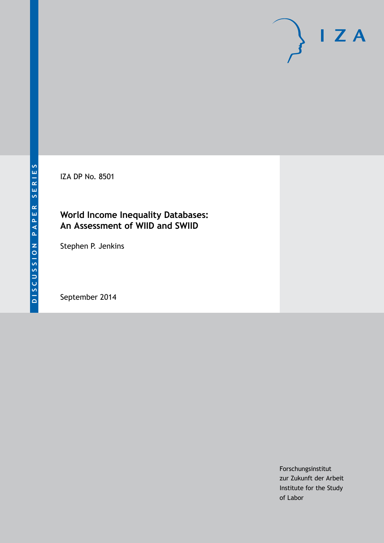IZA DP No. 8501

# **World Income Inequality Databases: An Assessment of WIID and SWIID**

Stephen P. Jenkins

September 2014

Forschungsinstitut zur Zukunft der Arbeit Institute for the Study of Labor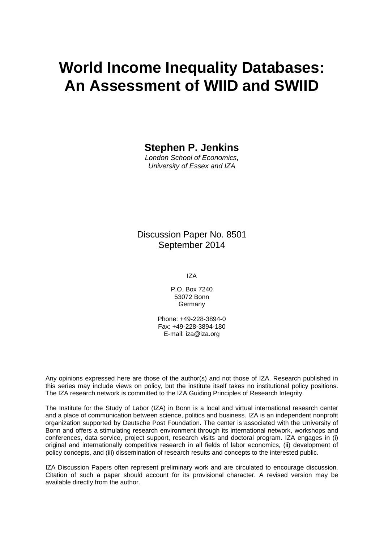# **World Income Inequality Databases: An Assessment of WIID and SWIID**

# **Stephen P. Jenkins**

*London School of Economics, University of Essex and IZA*

### Discussion Paper No. 8501 September 2014

IZA

P.O. Box 7240 53072 Bonn **Germany** 

Phone: +49-228-3894-0 Fax: +49-228-3894-180 E-mail: [iza@iza.org](mailto:iza@iza.org)

Any opinions expressed here are those of the author(s) and not those of IZA. Research published in this series may include views on policy, but the institute itself takes no institutional policy positions. The IZA research network is committed to the IZA Guiding Principles of Research Integrity.

The Institute for the Study of Labor (IZA) in Bonn is a local and virtual international research center and a place of communication between science, politics and business. IZA is an independent nonprofit organization supported by Deutsche Post Foundation. The center is associated with the University of Bonn and offers a stimulating research environment through its international network, workshops and conferences, data service, project support, research visits and doctoral program. IZA engages in (i) original and internationally competitive research in all fields of labor economics, (ii) development of policy concepts, and (iii) dissemination of research results and concepts to the interested public.

<span id="page-1-0"></span>IZA Discussion Papers often represent preliminary work and are circulated to encourage discussion. Citation of such a paper should account for its provisional character. A revised version may be available directly from the author.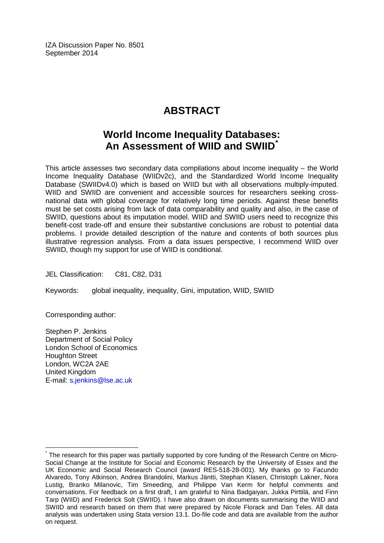IZA Discussion Paper No. 8501 September 2014

# **ABSTRACT**

# **World Income Inequality Databases: An Assessment of WIID and SWIID[\\*](#page-1-0)**

This article assesses two secondary data compilations about income inequality – the World Income Inequality Database (WIIDv2c), and the Standardized World Income Inequality Database (SWIIDv4.0) which is based on WIID but with all observations multiply-imputed. WIID and SWIID are convenient and accessible sources for researchers seeking crossnational data with global coverage for relatively long time periods. Against these benefits must be set costs arising from lack of data comparability and quality and also, in the case of SWIID, questions about its imputation model. WIID and SWIID users need to recognize this benefit-cost trade-off and ensure their substantive conclusions are robust to potential data problems. I provide detailed description of the nature and contents of both sources plus illustrative regression analysis. From a data issues perspective, I recommend WIID over SWIID, though my support for use of WIID is conditional.

JEL Classification: C81, C82, D31

Keywords: global inequality, inequality, Gini, imputation, WIID, SWIID

Corresponding author:

Stephen P. Jenkins Department of Social Policy London School of Economics Houghton Street London, WC2A 2AE United Kingdom E-mail: [s.jenkins@lse.ac.uk](mailto:s.jenkins@lse.ac.uk)

The research for this paper was partially supported by core funding of the Research Centre on Micro-Social Change at the Institute for Social and Economic Research by the University of Essex and the UK Economic and Social Research Council (award RES-518-28-001). My thanks go to Facundo Alvaredo, Tony Atkinson, Andrea Brandolini, Markus Jäntti, Stephan Klasen, Christoph Lakner, Nora Lustig, Branko Milanovic, Tim Smeeding, and Philippe Van Kerm for helpful comments and conversations. For feedback on a first draft, I am grateful to Nina Badgaiyan, Jukka Pirttilä, and Finn Tarp (WIID) and Frederick Solt (SWIID). I have also drawn on documents summarising the WIID and SWIID and research based on them that were prepared by Nicole Florack and Dan Teles. All data analysis was undertaken using Stata version 13.1. Do-file code and data are available from the author on request.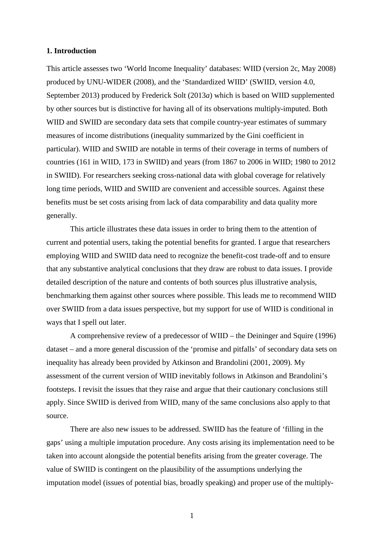#### **1. Introduction**

This article assesses two 'World Income Inequality' databases: WIID (version 2c, May 2008) produced by UNU-WIDER (2008), and the 'Standardized WIID' (SWIID, version 4.0, September 2013) produced by Frederick Solt (2013*a*) which is based on WIID supplemented by other sources but is distinctive for having all of its observations multiply-imputed. Both WIID and SWIID are secondary data sets that compile country-year estimates of summary measures of income distributions (inequality summarized by the Gini coefficient in particular). WIID and SWIID are notable in terms of their coverage in terms of numbers of countries (161 in WIID, 173 in SWIID) and years (from 1867 to 2006 in WIID; 1980 to 2012 in SWIID). For researchers seeking cross-national data with global coverage for relatively long time periods, WIID and SWIID are convenient and accessible sources. Against these benefits must be set costs arising from lack of data comparability and data quality more generally.

This article illustrates these data issues in order to bring them to the attention of current and potential users, taking the potential benefits for granted. I argue that researchers employing WIID and SWIID data need to recognize the benefit-cost trade-off and to ensure that any substantive analytical conclusions that they draw are robust to data issues. I provide detailed description of the nature and contents of both sources plus illustrative analysis, benchmarking them against other sources where possible. This leads me to recommend WIID over SWIID from a data issues perspective, but my support for use of WIID is conditional in ways that I spell out later.

A comprehensive review of a predecessor of WIID – the Deininger and Squire (1996) dataset – and a more general discussion of the 'promise and pitfalls' of secondary data sets on inequality has already been provided by Atkinson and Brandolini (2001, 2009). My assessment of the current version of WIID inevitably follows in Atkinson and Brandolini's footsteps. I revisit the issues that they raise and argue that their cautionary conclusions still apply. Since SWIID is derived from WIID, many of the same conclusions also apply to that source.

There are also new issues to be addressed. SWIID has the feature of 'filling in the gaps' using a multiple imputation procedure. Any costs arising its implementation need to be taken into account alongside the potential benefits arising from the greater coverage. The value of SWIID is contingent on the plausibility of the assumptions underlying the imputation model (issues of potential bias, broadly speaking) and proper use of the multiply-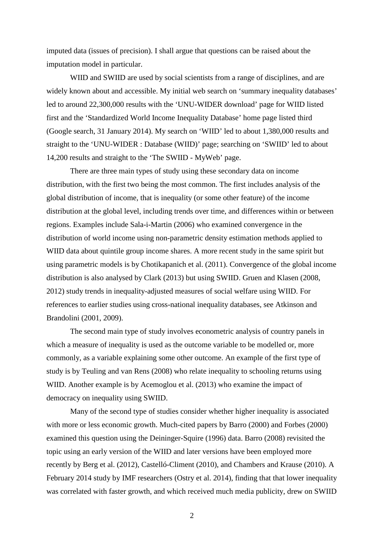imputed data (issues of precision). I shall argue that questions can be raised about the imputation model in particular.

WIID and SWIID are used by social scientists from a range of disciplines, and are widely known about and accessible. My initial web search on 'summary inequality databases' led to around 22,300,000 results with the 'UNU-WIDER download' page for WIID listed first and the 'Standardized World Income Inequality Database' home page listed third (Google search, 31 January 2014). My search on 'WIID' led to about 1,380,000 results and straight to the 'UNU-WIDER : Database (WIID)' page; searching on 'SWIID' led to about 14,200 results and straight to the 'The SWIID - MyWeb' page.

There are three main types of study using these secondary data on income distribution, with the first two being the most common. The first includes analysis of the global distribution of income, that is inequality (or some other feature) of the income distribution at the global level, including trends over time, and differences within or between regions. Examples include Sala-i-Martin (2006) who examined convergence in the distribution of world income using non-parametric density estimation methods applied to WIID data about quintile group income shares. A more recent study in the same spirit but using parametric models is by Chotikapanich et al. (2011). Convergence of the global income distribution is also analysed by Clark (2013) but using SWIID. Gruen and Klasen (2008, 2012) study trends in inequality-adjusted measures of social welfare using WIID. For references to earlier studies using cross-national inequality databases, see Atkinson and Brandolini (2001, 2009).

The second main type of study involves econometric analysis of country panels in which a measure of inequality is used as the outcome variable to be modelled or, more commonly, as a variable explaining some other outcome. An example of the first type of study is by Teuling and van Rens (2008) who relate inequality to schooling returns using WIID. Another example is by Acemoglou et al. (2013) who examine the impact of democracy on inequality using SWIID.

Many of the second type of studies consider whether higher inequality is associated with more or less economic growth. Much-cited papers by Barro (2000) and Forbes (2000) examined this question using the Deininger-Squire (1996) data. Barro (2008) revisited the topic using an early version of the WIID and later versions have been employed more recently by Berg et al. (2012), Castelló-Climent (2010), and Chambers and Krause (2010). A February 2014 study by IMF researchers (Ostry et al. 2014), finding that that lower inequality was correlated with faster growth, and which received much media publicity, drew on SWIID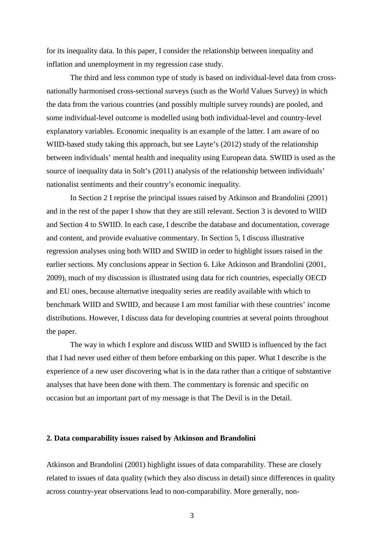for its inequality data. In this paper, I consider the relationship between inequality and inflation and unemployment in my regression case study.

The third and less common type of study is based on individual-level data from crossnationally harmonised cross-sectional surveys (such as the World Values Survey) in which the data from the various countries (and possibly multiple survey rounds) are pooled, and some individual-level outcome is modelled using both individual-level and country-level explanatory variables. Economic inequality is an example of the latter. I am aware of no WIID-based study taking this approach, but see Layte's (2012) study of the relationship between individuals' mental health and inequality using European data. SWIID is used as the source of inequality data in Solt's (2011) analysis of the relationship between individuals' nationalist sentiments and their country's economic inequality.

In Section 2 I reprise the principal issues raised by Atkinson and Brandolini (2001) and in the rest of the paper I show that they are still relevant. Section 3 is devoted to WIID and Section 4 to SWIID. In each case, I describe the database and documentation, coverage and content, and provide evaluative commentary. In Section 5, I discuss illustrative regression analyses using both WIID and SWIID in order to highlight issues raised in the earlier sections. My conclusions appear in Section 6. Like Atkinson and Brandolini (2001, 2009), much of my discussion is illustrated using data for rich countries, especially OECD and EU ones, because alternative inequality series are readily available with which to benchmark WIID and SWIID, and because I am most familiar with these countries' income distributions. However, I discuss data for developing countries at several points throughout the paper.

The way in which I explore and discuss WIID and SWIID is influenced by the fact that I had never used either of them before embarking on this paper. What I describe is the experience of a new user discovering what is in the data rather than a critique of substantive analyses that have been done with them. The commentary is forensic and specific on occasion but an important part of my message is that The Devil is in the Detail.

#### **2. Data comparability issues raised by Atkinson and Brandolini**

Atkinson and Brandolini (2001) highlight issues of data comparability. These are closely related to issues of data quality (which they also discuss in detail) since differences in quality across country-year observations lead to non-comparability. More generally, non-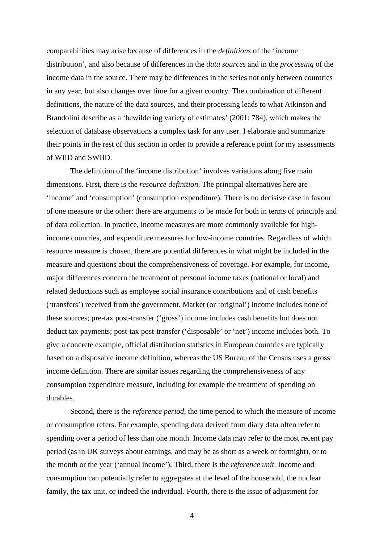comparabilities may arise because of differences in the *definitions* of the 'income distribution', and also because of differences in the *data sources* and in the *processing* of the income data in the source. There may be differences in the series not only between countries in any year, but also changes over time for a given country. The combination of different definitions, the nature of the data sources, and their processing leads to what Atkinson and Brandolini describe as a 'bewildering variety of estimates' (2001: 784), which makes the selection of database observations a complex task for any user. I elaborate and summarize their points in the rest of this section in order to provide a reference point for my assessments of WIID and SWIID.

The definition of the 'income distribution' involves variations along five main dimensions. First, there is the *resource definition*. The principal alternatives here are 'income' and 'consumption' (consumption expenditure). There is no decisive case in favour of one measure or the other: there are arguments to be made for both in terms of principle and of data collection. In practice, income measures are more commonly available for highincome countries, and expenditure measures for low-income countries. Regardless of which resource measure is chosen, there are potential differences in what might be included in the measure and questions about the comprehensiveness of coverage. For example, for income, major differences concern the treatment of personal income taxes (national or local) and related deductions such as employee social insurance contributions and of cash benefits ('transfers') received from the government. Market (or 'original') income includes none of these sources; pre-tax post-transfer ('gross') income includes cash benefits but does not deduct tax payments; post-tax post-transfer ('disposable' or 'net') income includes both. To give a concrete example, official distribution statistics in European countries are typically based on a disposable income definition, whereas the US Bureau of the Census uses a gross income definition. There are similar issues regarding the comprehensiveness of any consumption expenditure measure, including for example the treatment of spending on durables.

Second, there is the *reference period*, the time period to which the measure of income or consumption refers. For example, spending data derived from diary data often refer to spending over a period of less than one month. Income data may refer to the most recent pay period (as in UK surveys about earnings, and may be as short as a week or fortnight), or to the month or the year ('annual income'). Third, there is the *reference unit*. Income and consumption can potentially refer to aggregates at the level of the household, the nuclear family, the tax unit, or indeed the individual. Fourth, there is the issue of adjustment for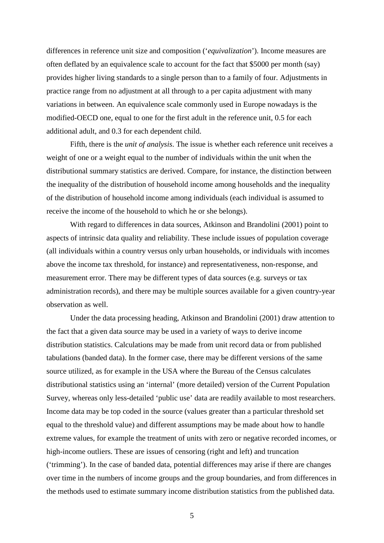differences in reference unit size and composition ('*equivalization*'). Income measures are often deflated by an equivalence scale to account for the fact that \$5000 per month (say) provides higher living standards to a single person than to a family of four. Adjustments in practice range from no adjustment at all through to a per capita adjustment with many variations in between. An equivalence scale commonly used in Europe nowadays is the modified-OECD one, equal to one for the first adult in the reference unit, 0.5 for each additional adult, and 0.3 for each dependent child.

Fifth, there is the *unit of analysis*. The issue is whether each reference unit receives a weight of one or a weight equal to the number of individuals within the unit when the distributional summary statistics are derived. Compare, for instance, the distinction between the inequality of the distribution of household income among households and the inequality of the distribution of household income among individuals (each individual is assumed to receive the income of the household to which he or she belongs).

With regard to differences in data sources, Atkinson and Brandolini (2001) point to aspects of intrinsic data quality and reliability. These include issues of population coverage (all individuals within a country versus only urban households, or individuals with incomes above the income tax threshold, for instance) and representativeness, non-response, and measurement error. There may be different types of data sources (e.g. surveys or tax administration records), and there may be multiple sources available for a given country-year observation as well.

Under the data processing heading, Atkinson and Brandolini (2001) draw attention to the fact that a given data source may be used in a variety of ways to derive income distribution statistics. Calculations may be made from unit record data or from published tabulations (banded data). In the former case, there may be different versions of the same source utilized, as for example in the USA where the Bureau of the Census calculates distributional statistics using an 'internal' (more detailed) version of the Current Population Survey, whereas only less-detailed 'public use' data are readily available to most researchers. Income data may be top coded in the source (values greater than a particular threshold set equal to the threshold value) and different assumptions may be made about how to handle extreme values, for example the treatment of units with zero or negative recorded incomes, or high-income outliers. These are issues of censoring (right and left) and truncation ('trimming'). In the case of banded data, potential differences may arise if there are changes over time in the numbers of income groups and the group boundaries, and from differences in the methods used to estimate summary income distribution statistics from the published data.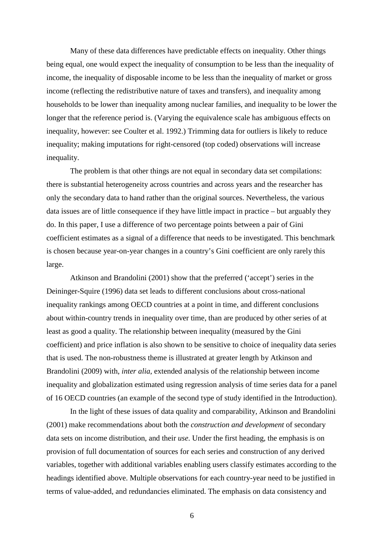Many of these data differences have predictable effects on inequality. Other things being equal, one would expect the inequality of consumption to be less than the inequality of income, the inequality of disposable income to be less than the inequality of market or gross income (reflecting the redistributive nature of taxes and transfers), and inequality among households to be lower than inequality among nuclear families, and inequality to be lower the longer that the reference period is. (Varying the equivalence scale has ambiguous effects on inequality, however: see Coulter et al. 1992.) Trimming data for outliers is likely to reduce inequality; making imputations for right-censored (top coded) observations will increase inequality.

The problem is that other things are not equal in secondary data set compilations: there is substantial heterogeneity across countries and across years and the researcher has only the secondary data to hand rather than the original sources. Nevertheless, the various data issues are of little consequence if they have little impact in practice – but arguably they do. In this paper, I use a difference of two percentage points between a pair of Gini coefficient estimates as a signal of a difference that needs to be investigated. This benchmark is chosen because year-on-year changes in a country's Gini coefficient are only rarely this large.

Atkinson and Brandolini (2001) show that the preferred ('accept') series in the Deininger-Squire (1996) data set leads to different conclusions about cross-national inequality rankings among OECD countries at a point in time, and different conclusions about within-country trends in inequality over time, than are produced by other series of at least as good a quality. The relationship between inequality (measured by the Gini coefficient) and price inflation is also shown to be sensitive to choice of inequality data series that is used. The non-robustness theme is illustrated at greater length by Atkinson and Brandolini (2009) with, *inter alia*, extended analysis of the relationship between income inequality and globalization estimated using regression analysis of time series data for a panel of 16 OECD countries (an example of the second type of study identified in the Introduction).

In the light of these issues of data quality and comparability, Atkinson and Brandolini (2001) make recommendations about both the *construction and development* of secondary data sets on income distribution, and their *use*. Under the first heading, the emphasis is on provision of full documentation of sources for each series and construction of any derived variables, together with additional variables enabling users classify estimates according to the headings identified above. Multiple observations for each country-year need to be justified in terms of value-added, and redundancies eliminated. The emphasis on data consistency and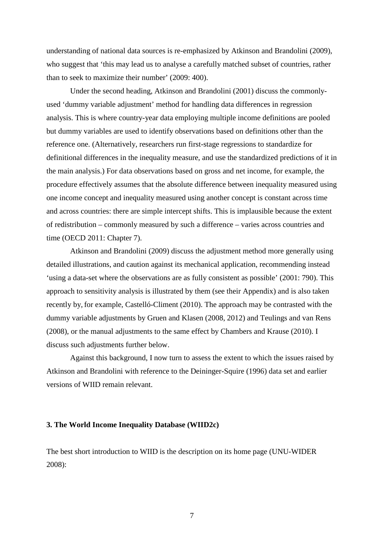understanding of national data sources is re-emphasized by Atkinson and Brandolini (2009), who suggest that 'this may lead us to analyse a carefully matched subset of countries, rather than to seek to maximize their number' (2009: 400).

Under the second heading, Atkinson and Brandolini (2001) discuss the commonlyused 'dummy variable adjustment' method for handling data differences in regression analysis. This is where country-year data employing multiple income definitions are pooled but dummy variables are used to identify observations based on definitions other than the reference one. (Alternatively, researchers run first-stage regressions to standardize for definitional differences in the inequality measure, and use the standardized predictions of it in the main analysis.) For data observations based on gross and net income, for example, the procedure effectively assumes that the absolute difference between inequality measured using one income concept and inequality measured using another concept is constant across time and across countries: there are simple intercept shifts. This is implausible because the extent of redistribution – commonly measured by such a difference – varies across countries and time (OECD 2011: Chapter 7).

Atkinson and Brandolini (2009) discuss the adjustment method more generally using detailed illustrations, and caution against its mechanical application, recommending instead 'using a data-set where the observations are as fully consistent as possible' (2001: 790). This approach to sensitivity analysis is illustrated by them (see their Appendix) and is also taken recently by, for example, Castelló-Climent (2010). The approach may be contrasted with the dummy variable adjustments by Gruen and Klasen (2008, 2012) and Teulings and van Rens (2008), or the manual adjustments to the same effect by Chambers and Krause (2010). I discuss such adjustments further below.

Against this background, I now turn to assess the extent to which the issues raised by Atkinson and Brandolini with reference to the Deininger-Squire (1996) data set and earlier versions of WIID remain relevant.

#### **3. The World Income Inequality Database (WIID2c)**

The best short introduction to WIID is the description on its home page (UNU-WIDER 2008):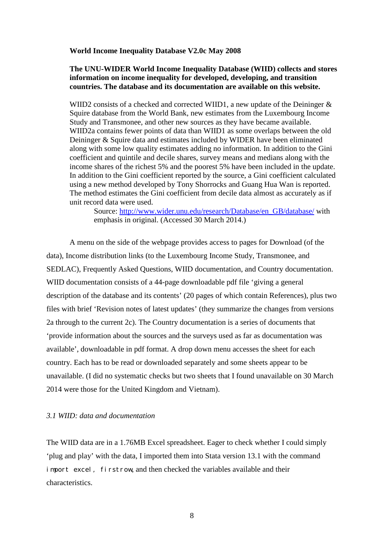#### **World Income Inequality Database V2.0c May 2008**

#### **The UNU-WIDER World Income Inequality Database (WIID) collects and stores information on income inequality for developed, developing, and transition countries. The database and its documentation are available on this website.**

WIID2 consists of a checked and corrected WIID1, a new update of the Deininger  $\&$ Squire database from the World Bank, new estimates from the Luxembourg Income Study and Transmonee, and other new sources as they have became available. WIID2a contains fewer points of data than WIID1 as some overlaps between the old Deininger & Squire data and estimates included by WIDER have been eliminated along with some low quality estimates adding no information. In addition to the Gini coefficient and quintile and decile shares, survey means and medians along with the income shares of the richest 5% and the poorest 5% have been included in the update. In addition to the Gini coefficient reported by the source, a Gini coefficient calculated using a new method developed by Tony Shorrocks and Guang Hua Wan is reported. The method estimates the Gini coefficient from decile data almost as accurately as if unit record data were used.

Source: [http://www.wider.unu.edu/research/Database/en\\_GB/database/](http://www.wider.unu.edu/research/Database/en_GB/database/) with emphasis in original. (Accessed 30 March 2014.)

A menu on the side of the webpage provides access to pages for Download (of the data), Income distribution links (to the Luxembourg Income Study, Transmonee, and SEDLAC), Frequently Asked Questions, WIID documentation, and Country documentation. WIID documentation consists of a 44-page downloadable pdf file 'giving a general description of the database and its contents' (20 pages of which contain References), plus two files with brief 'Revision notes of latest updates' (they summarize the changes from versions 2a through to the current 2c). The Country documentation is a series of documents that 'provide information about the sources and the surveys used as far as documentation was available', downloadable in pdf format. A drop down menu accesses the sheet for each country. Each has to be read or downloaded separately and some sheets appear to be unavailable. (I did no systematic checks but two sheets that I found unavailable on 30 March 2014 were those for the United Kingdom and Vietnam).

#### *3.1 WIID: data and documentation*

The WIID data are in a 1.76MB Excel spreadsheet. Eager to check whether I could simply 'plug and play' with the data, I imported them into Stata version 13.1 with the command import excel, firstrow, and then checked the variables available and their characteristics.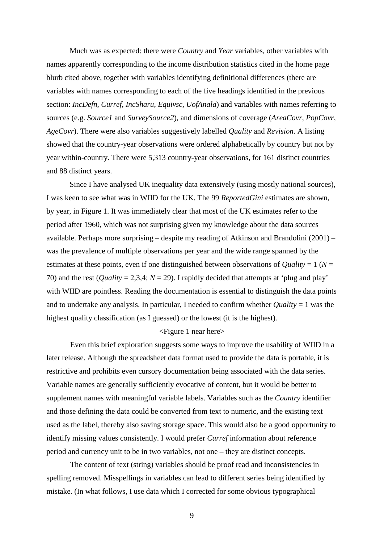Much was as expected: there were *Country* and *Year* variables, other variables with names apparently corresponding to the income distribution statistics cited in the home page blurb cited above, together with variables identifying definitional differences (there are variables with names corresponding to each of the five headings identified in the previous section: *IncDefn*, *Curref*, *IncSharu*, *Equivsc*, *UofAnala*) and variables with names referring to sources (e.g. *Source1* and *SurveySource2*), and dimensions of coverage (*AreaCovr*, *PopCovr*, *AgeCovr*). There were also variables suggestively labelled *Quality* and *Revision*. A listing showed that the country-year observations were ordered alphabetically by country but not by year within-country. There were 5,313 country-year observations, for 161 distinct countries and 88 distinct years.

Since I have analysed UK inequality data extensively (using mostly national sources), I was keen to see what was in WIID for the UK. The 99 *ReportedGini* estimates are shown, by year, in Figure 1. It was immediately clear that most of the UK estimates refer to the period after 1960, which was not surprising given my knowledge about the data sources available. Perhaps more surprising – despite my reading of Atkinson and Brandolini (2001) – was the prevalence of multiple observations per year and the wide range spanned by the estimates at these points, even if one distinguished between observations of *Quality* = 1 ( $N =$ 70) and the rest (*Quality* = 2,3,4; *N* = 29). I rapidly decided that attempts at 'plug and play' with WIID are pointless. Reading the documentation is essential to distinguish the data points and to undertake any analysis. In particular, I needed to confirm whether *Quality* = 1 was the highest quality classification (as I guessed) or the lowest (it is the highest).

#### <Figure 1 near here>

Even this brief exploration suggests some ways to improve the usability of WIID in a later release. Although the spreadsheet data format used to provide the data is portable, it is restrictive and prohibits even cursory documentation being associated with the data series. Variable names are generally sufficiently evocative of content, but it would be better to supplement names with meaningful variable labels. Variables such as the *Country* identifier and those defining the data could be converted from text to numeric, and the existing text used as the label, thereby also saving storage space. This would also be a good opportunity to identify missing values consistently. I would prefer *Curref* information about reference period and currency unit to be in two variables, not one – they are distinct concepts.

The content of text (string) variables should be proof read and inconsistencies in spelling removed. Misspellings in variables can lead to different series being identified by mistake. (In what follows, I use data which I corrected for some obvious typographical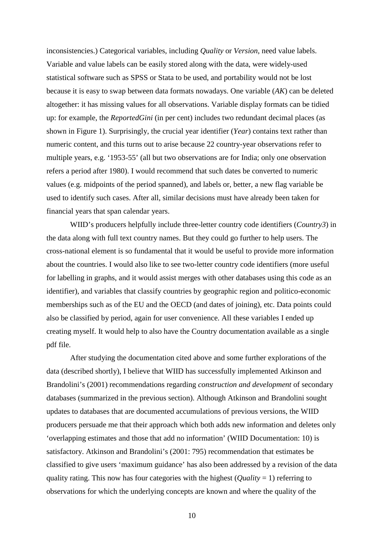inconsistencies.) Categorical variables, including *Quality* or *Version*, need value labels. Variable and value labels can be easily stored along with the data, were widely-used statistical software such as SPSS or Stata to be used, and portability would not be lost because it is easy to swap between data formats nowadays. One variable (*AK*) can be deleted altogether: it has missing values for all observations. Variable display formats can be tidied up: for example, the *ReportedGini* (in per cent) includes two redundant decimal places (as shown in Figure 1). Surprisingly, the crucial year identifier (*Year*) contains text rather than numeric content, and this turns out to arise because 22 country-year observations refer to multiple years, e.g. '1953-55' (all but two observations are for India; only one observation refers a period after 1980). I would recommend that such dates be converted to numeric values (e.g. midpoints of the period spanned), and labels or, better, a new flag variable be used to identify such cases. After all, similar decisions must have already been taken for financial years that span calendar years.

WIID's producers helpfully include three-letter country code identifiers (*Country3*) in the data along with full text country names. But they could go further to help users. The cross-national element is so fundamental that it would be useful to provide more information about the countries. I would also like to see two-letter country code identifiers (more useful for labelling in graphs, and it would assist merges with other databases using this code as an identifier), and variables that classify countries by geographic region and politico-economic memberships such as of the EU and the OECD (and dates of joining), etc. Data points could also be classified by period, again for user convenience. All these variables I ended up creating myself. It would help to also have the Country documentation available as a single pdf file.

After studying the documentation cited above and some further explorations of the data (described shortly), I believe that WIID has successfully implemented Atkinson and Brandolini's (2001) recommendations regarding *construction and development* of secondary databases (summarized in the previous section). Although Atkinson and Brandolini sought updates to databases that are documented accumulations of previous versions, the WIID producers persuade me that their approach which both adds new information and deletes only 'overlapping estimates and those that add no information' (WIID Documentation: 10) is satisfactory. Atkinson and Brandolini's (2001: 795) recommendation that estimates be classified to give users 'maximum guidance' has also been addressed by a revision of the data quality rating. This now has four categories with the highest (*Quality* = 1) referring to observations for which the underlying concepts are known and where the quality of the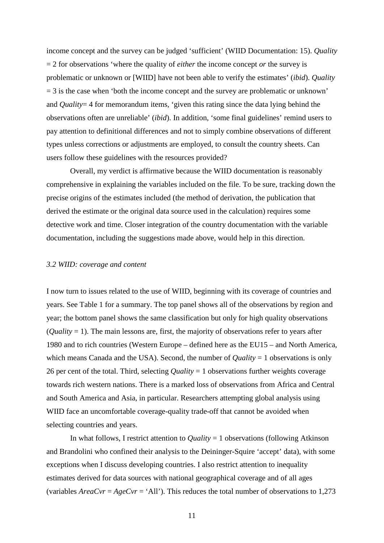income concept and the survey can be judged 'sufficient' (WIID Documentation: 15). *Quality*  = 2 for observations 'where the quality of *either* the income concept *or* the survey is problematic or unknown or [WIID] have not been able to verify the estimates' (*ibid*). *Quality*   $= 3$  is the case when 'both the income concept and the survey are problematic or unknown' and *Quality*= 4 for memorandum items, 'given this rating since the data lying behind the observations often are unreliable' (*ibid*). In addition, 'some final guidelines' remind users to pay attention to definitional differences and not to simply combine observations of different types unless corrections or adjustments are employed, to consult the country sheets. Can users follow these guidelines with the resources provided?

Overall, my verdict is affirmative because the WIID documentation is reasonably comprehensive in explaining the variables included on the file. To be sure, tracking down the precise origins of the estimates included (the method of derivation, the publication that derived the estimate or the original data source used in the calculation) requires some detective work and time. Closer integration of the country documentation with the variable documentation, including the suggestions made above, would help in this direction.

#### *3.2 WIID: coverage and content*

I now turn to issues related to the use of WIID, beginning with its coverage of countries and years. See Table 1 for a summary. The top panel shows all of the observations by region and year; the bottom panel shows the same classification but only for high quality observations (*Quality* = 1). The main lessons are, first, the majority of observations refer to years after 1980 and to rich countries (Western Europe – defined here as the EU15 – and North America, which means Canada and the USA). Second, the number of *Quality* = 1 observations is only 26 per cent of the total. Third, selecting *Quality* = 1 observations further weights coverage towards rich western nations. There is a marked loss of observations from Africa and Central and South America and Asia, in particular. Researchers attempting global analysis using WIID face an uncomfortable coverage-quality trade-off that cannot be avoided when selecting countries and years.

In what follows, I restrict attention to *Quality* = 1 observations (following Atkinson and Brandolini who confined their analysis to the Deininger-Squire 'accept' data), with some exceptions when I discuss developing countries. I also restrict attention to inequality estimates derived for data sources with national geographical coverage and of all ages (variables  $AreaCvr = AgeCvr = 'All'.$ ). This reduces the total number of observations to 1,273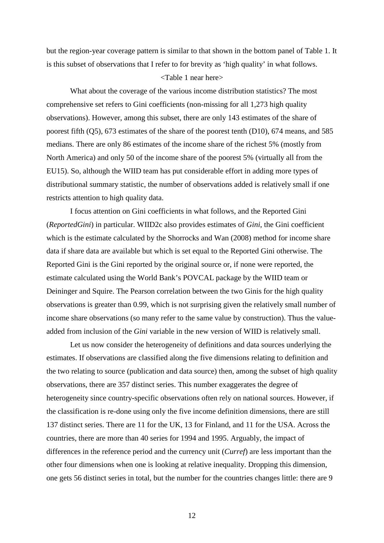but the region-year coverage pattern is similar to that shown in the bottom panel of Table 1. It is this subset of observations that I refer to for brevity as 'high quality' in what follows.

#### <Table 1 near here>

What about the coverage of the various income distribution statistics? The most comprehensive set refers to Gini coefficients (non-missing for all 1,273 high quality observations). However, among this subset, there are only 143 estimates of the share of poorest fifth (Q5), 673 estimates of the share of the poorest tenth (D10), 674 means, and 585 medians. There are only 86 estimates of the income share of the richest 5% (mostly from North America) and only 50 of the income share of the poorest 5% (virtually all from the EU15). So, although the WIID team has put considerable effort in adding more types of distributional summary statistic, the number of observations added is relatively small if one restricts attention to high quality data.

I focus attention on Gini coefficients in what follows, and the Reported Gini (*ReportedGini*) in particular. WIID2c also provides estimates of *Gini*, the Gini coefficient which is the estimate calculated by the Shorrocks and Wan (2008) method for income share data if share data are available but which is set equal to the Reported Gini otherwise. The Reported Gini is the Gini reported by the original source or, if none were reported, the estimate calculated using the World Bank's POVCAL package by the WIID team or Deininger and Squire. The Pearson correlation between the two Ginis for the high quality observations is greater than 0.99, which is not surprising given the relatively small number of income share observations (so many refer to the same value by construction). Thus the valueadded from inclusion of the *Gini* variable in the new version of WIID is relatively small.

Let us now consider the heterogeneity of definitions and data sources underlying the estimates. If observations are classified along the five dimensions relating to definition and the two relating to source (publication and data source) then, among the subset of high quality observations, there are 357 distinct series. This number exaggerates the degree of heterogeneity since country-specific observations often rely on national sources. However, if the classification is re-done using only the five income definition dimensions, there are still 137 distinct series. There are 11 for the UK, 13 for Finland, and 11 for the USA. Across the countries, there are more than 40 series for 1994 and 1995. Arguably, the impact of differences in the reference period and the currency unit (*Curref*) are less important than the other four dimensions when one is looking at relative inequality. Dropping this dimension, one gets 56 distinct series in total, but the number for the countries changes little: there are 9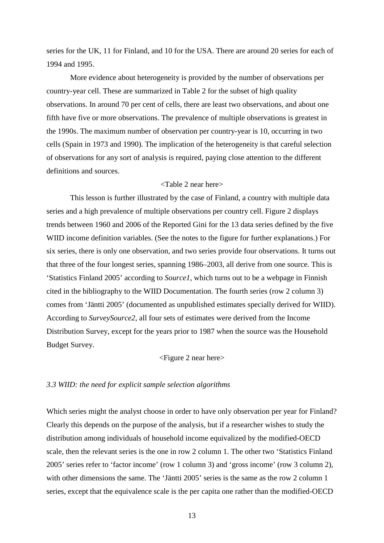series for the UK, 11 for Finland, and 10 for the USA. There are around 20 series for each of 1994 and 1995.

More evidence about heterogeneity is provided by the number of observations per country-year cell. These are summarized in Table 2 for the subset of high quality observations. In around 70 per cent of cells, there are least two observations, and about one fifth have five or more observations. The prevalence of multiple observations is greatest in the 1990s. The maximum number of observation per country-year is 10, occurring in two cells (Spain in 1973 and 1990). The implication of the heterogeneity is that careful selection of observations for any sort of analysis is required, paying close attention to the different definitions and sources.

#### <Table 2 near here>

This lesson is further illustrated by the case of Finland, a country with multiple data series and a high prevalence of multiple observations per country cell. Figure 2 displays trends between 1960 and 2006 of the Reported Gini for the 13 data series defined by the five WIID income definition variables. (See the notes to the figure for further explanations.) For six series, there is only one observation, and two series provide four observations. It turns out that three of the four longest series, spanning 1986–2003, all derive from one source. This is 'Statistics Finland 2005' according to *Source1*, which turns out to be a webpage in Finnish cited in the bibliography to the WIID Documentation. The fourth series (row 2 column 3) comes from 'Jäntti 2005' (documented as unpublished estimates specially derived for WIID). According to *SurveySource2*, all four sets of estimates were derived from the Income Distribution Survey, except for the years prior to 1987 when the source was the Household Budget Survey.

#### <Figure 2 near here>

#### *3.3 WIID: the need for explicit sample selection algorithms*

Which series might the analyst choose in order to have only observation per year for Finland? Clearly this depends on the purpose of the analysis, but if a researcher wishes to study the distribution among individuals of household income equivalized by the modified-OECD scale, then the relevant series is the one in row 2 column 1. The other two 'Statistics Finland 2005' series refer to 'factor income' (row 1 column 3) and 'gross income' (row 3 column 2), with other dimensions the same. The 'Jäntti 2005' series is the same as the row 2 column 1 series, except that the equivalence scale is the per capita one rather than the modified-OECD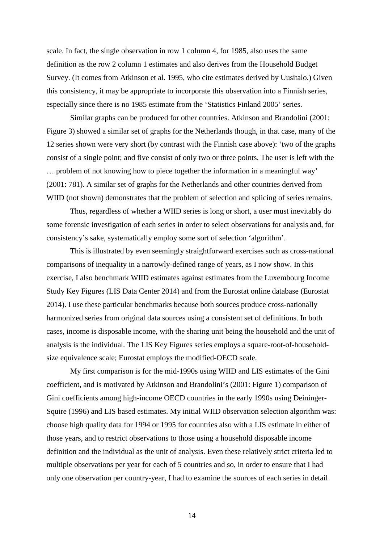scale. In fact, the single observation in row 1 column 4, for 1985, also uses the same definition as the row 2 column 1 estimates and also derives from the Household Budget Survey. (It comes from Atkinson et al. 1995, who cite estimates derived by Uusitalo.) Given this consistency, it may be appropriate to incorporate this observation into a Finnish series, especially since there is no 1985 estimate from the 'Statistics Finland 2005' series.

Similar graphs can be produced for other countries. Atkinson and Brandolini (2001: Figure 3) showed a similar set of graphs for the Netherlands though, in that case, many of the 12 series shown were very short (by contrast with the Finnish case above): 'two of the graphs consist of a single point; and five consist of only two or three points. The user is left with the … problem of not knowing how to piece together the information in a meaningful way' (2001: 781). A similar set of graphs for the Netherlands and other countries derived from WIID (not shown) demonstrates that the problem of selection and splicing of series remains.

Thus, regardless of whether a WIID series is long or short, a user must inevitably do some forensic investigation of each series in order to select observations for analysis and, for consistency's sake, systematically employ some sort of selection 'algorithm'.

This is illustrated by even seemingly straightforward exercises such as cross-national comparisons of inequality in a narrowly-defined range of years, as I now show. In this exercise, I also benchmark WIID estimates against estimates from the Luxembourg Income Study Key Figures (LIS Data Center 2014) and from the Eurostat online database (Eurostat 2014). I use these particular benchmarks because both sources produce cross-nationally harmonized series from original data sources using a consistent set of definitions. In both cases, income is disposable income, with the sharing unit being the household and the unit of analysis is the individual. The LIS Key Figures series employs a square-root-of-householdsize equivalence scale; Eurostat employs the modified-OECD scale.

My first comparison is for the mid-1990s using WIID and LIS estimates of the Gini coefficient, and is motivated by Atkinson and Brandolini's (2001: Figure 1) comparison of Gini coefficients among high-income OECD countries in the early 1990s using Deininger-Squire (1996) and LIS based estimates. My initial WIID observation selection algorithm was: choose high quality data for 1994 or 1995 for countries also with a LIS estimate in either of those years, and to restrict observations to those using a household disposable income definition and the individual as the unit of analysis. Even these relatively strict criteria led to multiple observations per year for each of 5 countries and so, in order to ensure that I had only one observation per country-year, I had to examine the sources of each series in detail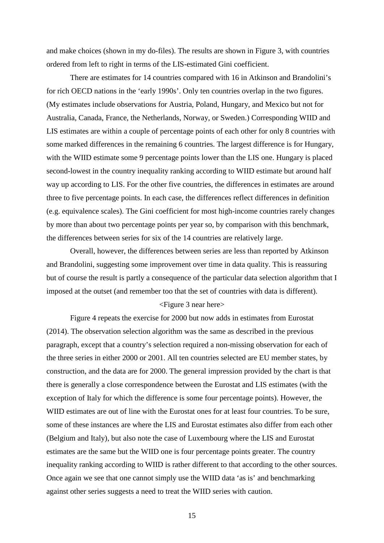and make choices (shown in my do-files). The results are shown in Figure 3, with countries ordered from left to right in terms of the LIS-estimated Gini coefficient.

There are estimates for 14 countries compared with 16 in Atkinson and Brandolini's for rich OECD nations in the 'early 1990s'. Only ten countries overlap in the two figures. (My estimates include observations for Austria, Poland, Hungary, and Mexico but not for Australia, Canada, France, the Netherlands, Norway, or Sweden.) Corresponding WIID and LIS estimates are within a couple of percentage points of each other for only 8 countries with some marked differences in the remaining 6 countries. The largest difference is for Hungary, with the WIID estimate some 9 percentage points lower than the LIS one. Hungary is placed second-lowest in the country inequality ranking according to WIID estimate but around half way up according to LIS. For the other five countries, the differences in estimates are around three to five percentage points. In each case, the differences reflect differences in definition (e.g. equivalence scales). The Gini coefficient for most high-income countries rarely changes by more than about two percentage points per year so, by comparison with this benchmark, the differences between series for six of the 14 countries are relatively large.

Overall, however, the differences between series are less than reported by Atkinson and Brandolini, suggesting some improvement over time in data quality. This is reassuring but of course the result is partly a consequence of the particular data selection algorithm that I imposed at the outset (and remember too that the set of countries with data is different).

#### <Figure 3 near here>

Figure 4 repeats the exercise for 2000 but now adds in estimates from Eurostat (2014). The observation selection algorithm was the same as described in the previous paragraph, except that a country's selection required a non-missing observation for each of the three series in either 2000 or 2001. All ten countries selected are EU member states, by construction, and the data are for 2000. The general impression provided by the chart is that there is generally a close correspondence between the Eurostat and LIS estimates (with the exception of Italy for which the difference is some four percentage points). However, the WIID estimates are out of line with the Eurostat ones for at least four countries. To be sure, some of these instances are where the LIS and Eurostat estimates also differ from each other (Belgium and Italy), but also note the case of Luxembourg where the LIS and Eurostat estimates are the same but the WIID one is four percentage points greater. The country inequality ranking according to WIID is rather different to that according to the other sources. Once again we see that one cannot simply use the WIID data 'as is' and benchmarking against other series suggests a need to treat the WIID series with caution.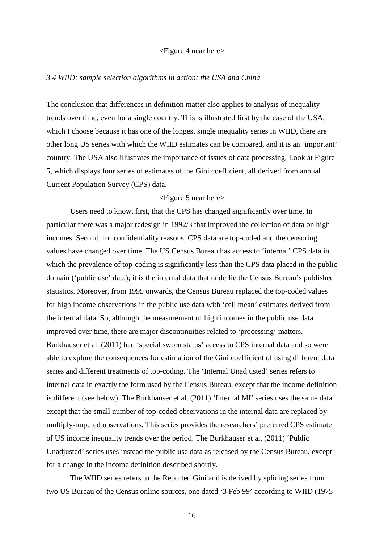#### <Figure 4 near here>

#### *3.4 WIID: sample selection algorithms in action: the USA and China*

The conclusion that differences in definition matter also applies to analysis of inequality trends over time, even for a single country. This is illustrated first by the case of the USA, which I choose because it has one of the longest single inequality series in WIID, there are other long US series with which the WIID estimates can be compared, and it is an 'important' country. The USA also illustrates the importance of issues of data processing. Look at Figure 5, which displays four series of estimates of the Gini coefficient, all derived from annual Current Population Survey (CPS) data.

#### <Figure 5 near here>

Users need to know, first, that the CPS has changed significantly over time. In particular there was a major redesign in 1992/3 that improved the collection of data on high incomes. Second, for confidentiality reasons, CPS data are top-coded and the censoring values have changed over time. The US Census Bureau has access to 'internal' CPS data in which the prevalence of top-coding is significantly less than the CPS data placed in the public domain ('public use' data); it is the internal data that underlie the Census Bureau's published statistics. Moreover, from 1995 onwards, the Census Bureau replaced the top-coded values for high income observations in the public use data with 'cell mean' estimates derived from the internal data. So, although the measurement of high incomes in the public use data improved over time, there are major discontinuities related to 'processing' matters. Burkhauser et al. (2011) had 'special sworn status' access to CPS internal data and so were able to explore the consequences for estimation of the Gini coefficient of using different data series and different treatments of top-coding. The 'Internal Unadjusted' series refers to internal data in exactly the form used by the Census Bureau, except that the income definition is different (see below). The Burkhauser et al. (2011) 'Internal MI' series uses the same data except that the small number of top-coded observations in the internal data are replaced by multiply-imputed observations. This series provides the researchers' preferred CPS estimate of US income inequality trends over the period. The Burkhauser et al. (2011) 'Public Unadjusted' series uses instead the public use data as released by the Census Bureau, except for a change in the income definition described shortly.

The WIID series refers to the Reported Gini and is derived by splicing series from two US Bureau of the Census online sources, one dated '3 Feb 99' according to WIID (1975–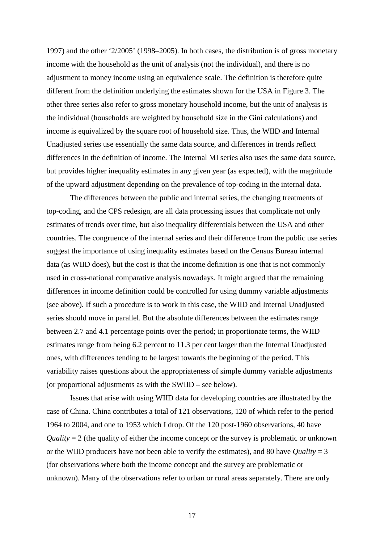1997) and the other '2/2005' (1998–2005). In both cases, the distribution is of gross monetary income with the household as the unit of analysis (not the individual), and there is no adjustment to money income using an equivalence scale. The definition is therefore quite different from the definition underlying the estimates shown for the USA in Figure 3. The other three series also refer to gross monetary household income, but the unit of analysis is the individual (households are weighted by household size in the Gini calculations) and income is equivalized by the square root of household size. Thus, the WIID and Internal Unadjusted series use essentially the same data source, and differences in trends reflect differences in the definition of income. The Internal MI series also uses the same data source, but provides higher inequality estimates in any given year (as expected), with the magnitude of the upward adjustment depending on the prevalence of top-coding in the internal data.

The differences between the public and internal series, the changing treatments of top-coding, and the CPS redesign, are all data processing issues that complicate not only estimates of trends over time, but also inequality differentials between the USA and other countries. The congruence of the internal series and their difference from the public use series suggest the importance of using inequality estimates based on the Census Bureau internal data (as WIID does), but the cost is that the income definition is one that is not commonly used in cross-national comparative analysis nowadays. It might argued that the remaining differences in income definition could be controlled for using dummy variable adjustments (see above). If such a procedure is to work in this case, the WIID and Internal Unadjusted series should move in parallel. But the absolute differences between the estimates range between 2.7 and 4.1 percentage points over the period; in proportionate terms, the WIID estimates range from being 6.2 percent to 11.3 per cent larger than the Internal Unadjusted ones, with differences tending to be largest towards the beginning of the period. This variability raises questions about the appropriateness of simple dummy variable adjustments (or proportional adjustments as with the SWIID – see below).

Issues that arise with using WIID data for developing countries are illustrated by the case of China. China contributes a total of 121 observations, 120 of which refer to the period 1964 to 2004, and one to 1953 which I drop. Of the 120 post-1960 observations, 40 have *Quality* = 2 (the quality of either the income concept or the survey is problematic or unknown or the WIID producers have not been able to verify the estimates), and 80 have *Quality* = 3 (for observations where both the income concept and the survey are problematic or unknown). Many of the observations refer to urban or rural areas separately. There are only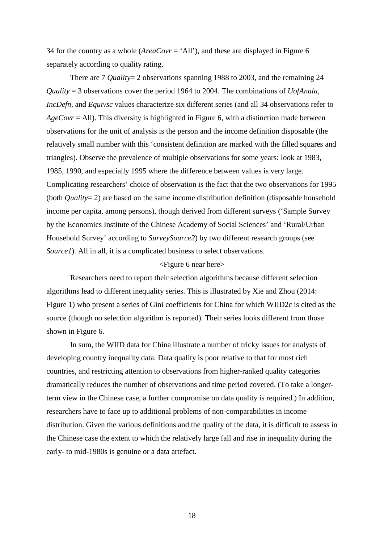34 for the country as a whole (*AreaCovr* = 'All'), and these are displayed in Figure 6 separately according to quality rating.

There are 7 *Quality*= 2 observations spanning 1988 to 2003, and the remaining 24 *Quality* = 3 observations cover the period 1964 to 2004. The combinations of *UofAnala*, *IncDefn*, and *Equivsc* values characterize six different series (and all 34 observations refer to *AgeCovr* = All). This diversity is highlighted in Figure 6, with a distinction made between observations for the unit of analysis is the person and the income definition disposable (the relatively small number with this 'consistent definition are marked with the filled squares and triangles). Observe the prevalence of multiple observations for some years: look at 1983, 1985, 1990, and especially 1995 where the difference between values is very large. Complicating researchers' choice of observation is the fact that the two observations for 1995 (both *Quality*= 2) are based on the same income distribution definition (disposable household income per capita, among persons), though derived from different surveys ('Sample Survey by the Economics Institute of the Chinese Academy of Social Sciences' and 'Rural/Urban Household Survey' according to *SurveySource2*) by two different research groups (see *Source1*). All in all, it is a complicated business to select observations.

#### <Figure 6 near here>

Researchers need to report their selection algorithms because different selection algorithms lead to different inequality series. This is illustrated by Xie and Zhou (2014: Figure 1) who present a series of Gini coefficients for China for which WIID2c is cited as the source (though no selection algorithm is reported). Their series looks different from those shown in Figure 6.

In sum, the WIID data for China illustrate a number of tricky issues for analysts of developing country inequality data. Data quality is poor relative to that for most rich countries, and restricting attention to observations from higher-ranked quality categories dramatically reduces the number of observations and time period covered. (To take a longerterm view in the Chinese case, a further compromise on data quality is required.) In addition, researchers have to face up to additional problems of non-comparabilities in income distribution. Given the various definitions and the quality of the data, it is difficult to assess in the Chinese case the extent to which the relatively large fall and rise in inequality during the early- to mid-1980s is genuine or a data artefact.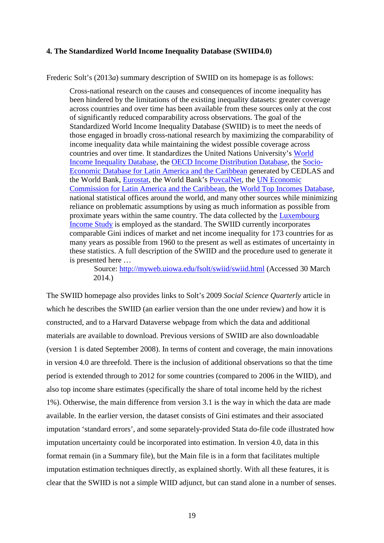#### **4. The Standardized World Income Inequality Database (SWIID4.0)**

Frederic Solt's (2013*a*) summary description of SWIID on its homepage is as follows:

Cross-national research on the causes and consequences of income inequality has been hindered by the limitations of the existing inequality datasets: greater coverage across countries and over time has been available from these sources only at the cost of significantly reduced comparability across observations. The goal of the Standardized World Income Inequality Database (SWIID) is to meet the needs of those engaged in broadly cross-national research by maximizing the comparability of income inequality data while maintaining the widest possible coverage across countries and over time. It standardizes the United Nations University's [World](http://www.wider.unu.edu/research/Database/en_GB/database/)  [Income Inequality Database,](http://www.wider.unu.edu/research/Database/en_GB/database/) the [OECD Income Distribution Database,](http://www.oecd.org/social/inequality.htm) the [Socio-](http://sedlac.econo.unlp.edu.ar/eng/)[Economic Database for Latin America and the Caribbean](http://sedlac.econo.unlp.edu.ar/eng/) generated by CEDLAS and the World Bank, [Eurostat,](http://epp.eurostat.ec.europa.eu/) the World Bank's [PovcalNet,](http://iresearch.worldbank.org/PovcalNet/index.htm) the [UN Economic](http://interwp.cepal.org/sisgen/ConsultaIntegrada.asp?idIndicador=250&idioma=e)  [Commission for Latin America and the Caribbean,](http://interwp.cepal.org/sisgen/ConsultaIntegrada.asp?idIndicador=250&idioma=e) the [World Top Incomes Database,](http://topincomes.g-mond.parisschoolofeconomics.eu/) national statistical offices around the world, and many other sources while minimizing reliance on problematic assumptions by using as much information as possible from proximate years within the same country. The data collected by the [Luxembourg](http://www.lisdatacenter.org/our-data/lis-database/)  [Income Study](http://www.lisdatacenter.org/our-data/lis-database/) is employed as the standard. The SWIID currently incorporates comparable Gini indices of market and net income inequality for 173 countries for as many years as possible from 1960 to the present as well as estimates of uncertainty in these statistics. A full description of the SWIID and the procedure used to generate it is presented here …

Source:<http://myweb.uiowa.edu/fsolt/swiid/swiid.html> (Accessed 30 March 2014.)

The SWIID homepage also provides links to Solt's 2009 *Social Science Quarterly* article in which he describes the SWIID (an earlier version than the one under review) and how it is constructed, and to a Harvard Dataverse webpage from which the data and additional materials are available to download. Previous versions of SWIID are also downloadable (version 1 is dated September 2008). In terms of content and coverage, the main innovations in version 4.0 are threefold. There is the inclusion of additional observations so that the time period is extended through to 2012 for some countries (compared to 2006 in the WIID), and also top income share estimates (specifically the share of total income held by the richest 1%). Otherwise, the main difference from version 3.1 is the way in which the data are made available. In the earlier version, the dataset consists of Gini estimates and their associated imputation 'standard errors', and some separately-provided Stata do-file code illustrated how imputation uncertainty could be incorporated into estimation. In version 4.0, data in this format remain (in a Summary file), but the Main file is in a form that facilitates multiple imputation estimation techniques directly, as explained shortly. With all these features, it is clear that the SWIID is not a simple WIID adjunct, but can stand alone in a number of senses.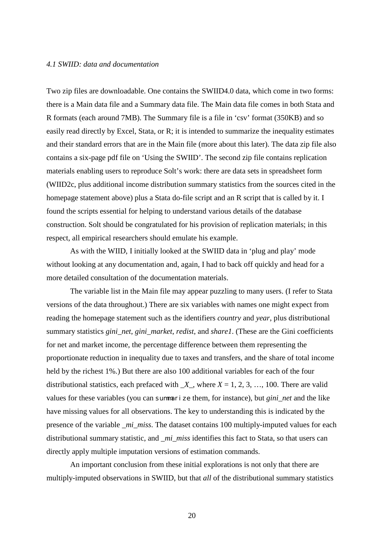#### *4.1 SWIID: data and documentation*

Two zip files are downloadable. One contains the SWIID4.0 data, which come in two forms: there is a Main data file and a Summary data file. The Main data file comes in both Stata and R formats (each around 7MB). The Summary file is a file in 'csv' format (350KB) and so easily read directly by Excel, Stata, or R; it is intended to summarize the inequality estimates and their standard errors that are in the Main file (more about this later). The data zip file also contains a six-page pdf file on 'Using the SWIID'. The second zip file contains replication materials enabling users to reproduce Solt's work: there are data sets in spreadsheet form (WIID2c, plus additional income distribution summary statistics from the sources cited in the homepage statement above) plus a Stata do-file script and an R script that is called by it. I found the scripts essential for helping to understand various details of the database construction. Solt should be congratulated for his provision of replication materials; in this respect, all empirical researchers should emulate his example.

As with the WIID, I initially looked at the SWIID data in 'plug and play' mode without looking at any documentation and, again, I had to back off quickly and head for a more detailed consultation of the documentation materials.

The variable list in the Main file may appear puzzling to many users. (I refer to Stata versions of the data throughout.) There are six variables with names one might expect from reading the homepage statement such as the identifiers *country* and *year*, plus distributional summary statistics *gini\_net*, *gini\_market*, *redist*, and *share1*. (These are the Gini coefficients for net and market income, the percentage difference between them representing the proportionate reduction in inequality due to taxes and transfers, and the share of total income held by the richest 1%.) But there are also 100 additional variables for each of the four distributional statistics, each prefaced with  $X$ , where  $X = 1, 2, 3, \ldots, 100$ . There are valid values for these variables (you can summarize them, for instance), but *gini\_net* and the like have missing values for all observations. The key to understanding this is indicated by the presence of the variable *\_mi\_miss*. The dataset contains 100 multiply-imputed values for each distributional summary statistic, and *\_mi\_miss* identifies this fact to Stata, so that users can directly apply multiple imputation versions of estimation commands.

An important conclusion from these initial explorations is not only that there are multiply-imputed observations in SWIID, but that *all* of the distributional summary statistics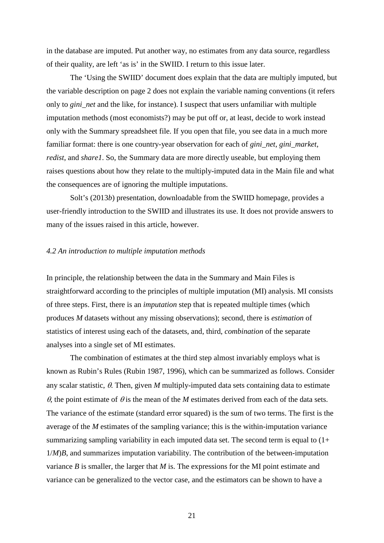in the database are imputed. Put another way, no estimates from any data source, regardless of their quality, are left 'as is' in the SWIID. I return to this issue later.

The 'Using the SWIID' document does explain that the data are multiply imputed, but the variable description on page 2 does not explain the variable naming conventions (it refers only to *gini\_net* and the like, for instance). I suspect that users unfamiliar with multiple imputation methods (most economists?) may be put off or, at least, decide to work instead only with the Summary spreadsheet file. If you open that file, you see data in a much more familiar format: there is one country-year observation for each of *gini\_net*, *gini\_market*, *redist*, and *share1*. So, the Summary data are more directly useable, but employing them raises questions about how they relate to the multiply-imputed data in the Main file and what the consequences are of ignoring the multiple imputations.

Solt's (2013*b*) presentation, downloadable from the SWIID homepage, provides a user-friendly introduction to the SWIID and illustrates its use. It does not provide answers to many of the issues raised in this article, however.

#### *4.2 An introduction to multiple imputation methods*

In principle, the relationship between the data in the Summary and Main Files is straightforward according to the principles of multiple imputation (MI) analysis. MI consists of three steps. First, there is an *imputation* step that is repeated multiple times (which produces *M* datasets without any missing observations); second, there is *estimation* of statistics of interest using each of the datasets, and, third, *combination* of the separate analyses into a single set of MI estimates.

The combination of estimates at the third step almost invariably employs what is known as Rubin's Rules (Rubin 1987, 1996), which can be summarized as follows. Consider any scalar statistic, θ. Then, given *M* multiply-imputed data sets containing data to estimate  $θ$ , the point estimate of  $θ$  is the mean of the *M* estimates derived from each of the data sets. The variance of the estimate (standard error squared) is the sum of two terms. The first is the average of the *M* estimates of the sampling variance; this is the within-imputation variance summarizing sampling variability in each imputed data set. The second term is equal to  $(1+$ 1/*M*)*B*, and summarizes imputation variability. The contribution of the between-imputation variance *B* is smaller, the larger that *M* is. The expressions for the MI point estimate and variance can be generalized to the vector case, and the estimators can be shown to have a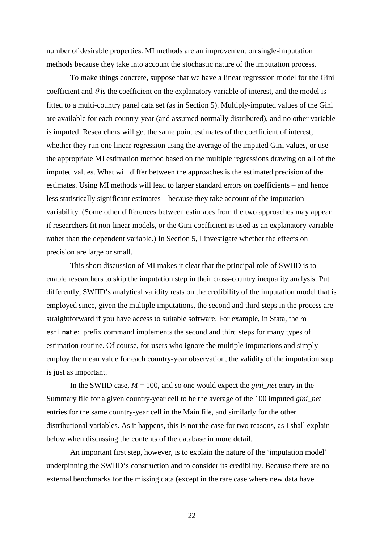number of desirable properties. MI methods are an improvement on single-imputation methods because they take into account the stochastic nature of the imputation process.

To make things concrete, suppose that we have a linear regression model for the Gini coefficient and  $\theta$  is the coefficient on the explanatory variable of interest, and the model is fitted to a multi-country panel data set (as in Section 5). Multiply-imputed values of the Gini are available for each country-year (and assumed normally distributed), and no other variable is imputed. Researchers will get the same point estimates of the coefficient of interest, whether they run one linear regression using the average of the imputed Gini values, or use the appropriate MI estimation method based on the multiple regressions drawing on all of the imputed values. What will differ between the approaches is the estimated precision of the estimates. Using MI methods will lead to larger standard errors on coefficients – and hence less statistically significant estimates – because they take account of the imputation variability. (Some other differences between estimates from the two approaches may appear if researchers fit non-linear models, or the Gini coefficient is used as an explanatory variable rather than the dependent variable.) In Section 5, I investigate whether the effects on precision are large or small.

This short discussion of MI makes it clear that the principal role of SWIID is to enable researchers to skip the imputation step in their cross-country inequality analysis. Put differently, SWIID's analytical validity rests on the credibility of the imputation model that is employed since, given the multiple imputations, the second and third steps in the process are straightforward if you have access to suitable software. For example, in Stata, the mi estimate: prefix command implements the second and third steps for many types of estimation routine. Of course, for users who ignore the multiple imputations and simply employ the mean value for each country-year observation, the validity of the imputation step is just as important.

In the SWIID case, *M* = 100, and so one would expect the *gini\_net* entry in the Summary file for a given country-year cell to be the average of the 100 imputed *gini\_net* entries for the same country-year cell in the Main file, and similarly for the other distributional variables. As it happens, this is not the case for two reasons, as I shall explain below when discussing the contents of the database in more detail.

An important first step, however, is to explain the nature of the 'imputation model' underpinning the SWIID's construction and to consider its credibility. Because there are no external benchmarks for the missing data (except in the rare case where new data have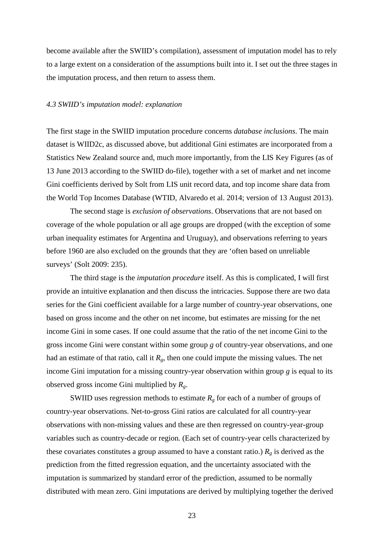become available after the SWIID's compilation), assessment of imputation model has to rely to a large extent on a consideration of the assumptions built into it. I set out the three stages in the imputation process, and then return to assess them.

#### *4.3 SWIID's imputation model: explanation*

The first stage in the SWIID imputation procedure concerns *database inclusions*. The main dataset is WIID2c, as discussed above, but additional Gini estimates are incorporated from a Statistics New Zealand source and, much more importantly, from the LIS Key Figures (as of 13 June 2013 according to the SWIID do-file), together with a set of market and net income Gini coefficients derived by Solt from LIS unit record data, and top income share data from the World Top Incomes Database (WTID, Alvaredo et al. 2014; version of 13 August 2013).

The second stage is *exclusion of observations*. Observations that are not based on coverage of the whole population or all age groups are dropped (with the exception of some urban inequality estimates for Argentina and Uruguay), and observations referring to years before 1960 are also excluded on the grounds that they are 'often based on unreliable surveys' (Solt 2009: 235).

The third stage is the *imputation procedure* itself. As this is complicated, I will first provide an intuitive explanation and then discuss the intricacies. Suppose there are two data series for the Gini coefficient available for a large number of country-year observations, one based on gross income and the other on net income, but estimates are missing for the net income Gini in some cases. If one could assume that the ratio of the net income Gini to the gross income Gini were constant within some group *g* of country-year observations, and one had an estimate of that ratio, call it  $R_g$ , then one could impute the missing values. The net income Gini imputation for a missing country-year observation within group *g* is equal to its observed gross income Gini multiplied by *Rg*.

SWIID uses regression methods to estimate  $R_g$  for each of a number of groups of country-year observations. Net-to-gross Gini ratios are calculated for all country-year observations with non-missing values and these are then regressed on country-year-group variables such as country-decade or region. (Each set of country-year cells characterized by these covariates constitutes a group assumed to have a constant ratio.)  $R_g$  is derived as the prediction from the fitted regression equation, and the uncertainty associated with the imputation is summarized by standard error of the prediction, assumed to be normally distributed with mean zero. Gini imputations are derived by multiplying together the derived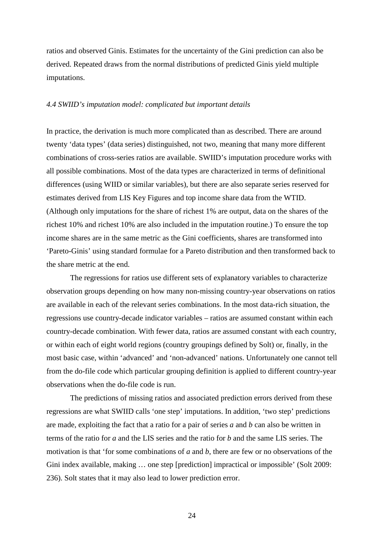ratios and observed Ginis. Estimates for the uncertainty of the Gini prediction can also be derived. Repeated draws from the normal distributions of predicted Ginis yield multiple imputations.

#### *4.4 SWIID's imputation model: complicated but important details*

In practice, the derivation is much more complicated than as described. There are around twenty 'data types' (data series) distinguished, not two, meaning that many more different combinations of cross-series ratios are available. SWIID's imputation procedure works with all possible combinations. Most of the data types are characterized in terms of definitional differences (using WIID or similar variables), but there are also separate series reserved for estimates derived from LIS Key Figures and top income share data from the WTID. (Although only imputations for the share of richest 1% are output, data on the shares of the richest 10% and richest 10% are also included in the imputation routine.) To ensure the top income shares are in the same metric as the Gini coefficients, shares are transformed into 'Pareto-Ginis' using standard formulae for a Pareto distribution and then transformed back to the share metric at the end.

The regressions for ratios use different sets of explanatory variables to characterize observation groups depending on how many non-missing country-year observations on ratios are available in each of the relevant series combinations. In the most data-rich situation, the regressions use country-decade indicator variables – ratios are assumed constant within each country-decade combination. With fewer data, ratios are assumed constant with each country, or within each of eight world regions (country groupings defined by Solt) or, finally, in the most basic case, within 'advanced' and 'non-advanced' nations. Unfortunately one cannot tell from the do-file code which particular grouping definition is applied to different country-year observations when the do-file code is run.

The predictions of missing ratios and associated prediction errors derived from these regressions are what SWIID calls 'one step' imputations. In addition, 'two step' predictions are made, exploiting the fact that a ratio for a pair of series *a* and *b* can also be written in terms of the ratio for *a* and the LIS series and the ratio for *b* and the same LIS series. The motivation is that 'for some combinations of *a* and *b*, there are few or no observations of the Gini index available, making … one step [prediction] impractical or impossible' (Solt 2009: 236). Solt states that it may also lead to lower prediction error.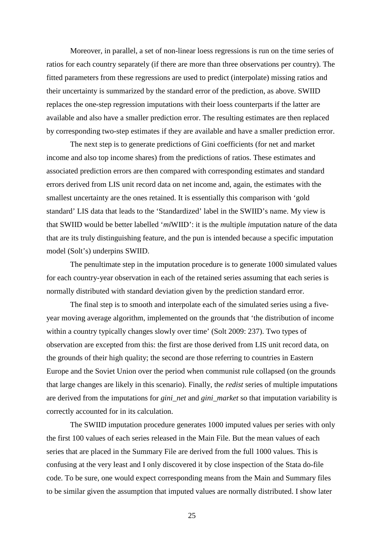Moreover, in parallel, a set of non-linear loess regressions is run on the time series of ratios for each country separately (if there are more than three observations per country). The fitted parameters from these regressions are used to predict (interpolate) missing ratios and their uncertainty is summarized by the standard error of the prediction, as above. SWIID replaces the one-step regression imputations with their loess counterparts if the latter are available and also have a smaller prediction error. The resulting estimates are then replaced by corresponding two-step estimates if they are available and have a smaller prediction error.

The next step is to generate predictions of Gini coefficients (for net and market income and also top income shares) from the predictions of ratios. These estimates and associated prediction errors are then compared with corresponding estimates and standard errors derived from LIS unit record data on net income and, again, the estimates with the smallest uncertainty are the ones retained. It is essentially this comparison with 'gold standard' LIS data that leads to the 'Standardized' label in the SWIID's name. My view is that SWIID would be better labelled '*mi*WIID': it is the *m*ultiple *i*mputation nature of the data that are its truly distinguishing feature, and the pun is intended because a specific imputation model (Solt's) underpins SWIID.

The penultimate step in the imputation procedure is to generate 1000 simulated values for each country-year observation in each of the retained series assuming that each series is normally distributed with standard deviation given by the prediction standard error.

The final step is to smooth and interpolate each of the simulated series using a fiveyear moving average algorithm, implemented on the grounds that 'the distribution of income within a country typically changes slowly over time' (Solt 2009: 237). Two types of observation are excepted from this: the first are those derived from LIS unit record data, on the grounds of their high quality; the second are those referring to countries in Eastern Europe and the Soviet Union over the period when communist rule collapsed (on the grounds that large changes are likely in this scenario). Finally, the *redist* series of multiple imputations are derived from the imputations for *gini\_net* and *gini\_market* so that imputation variability is correctly accounted for in its calculation.

The SWIID imputation procedure generates 1000 imputed values per series with only the first 100 values of each series released in the Main File. But the mean values of each series that are placed in the Summary File are derived from the full 1000 values. This is confusing at the very least and I only discovered it by close inspection of the Stata do-file code. To be sure, one would expect corresponding means from the Main and Summary files to be similar given the assumption that imputed values are normally distributed. I show later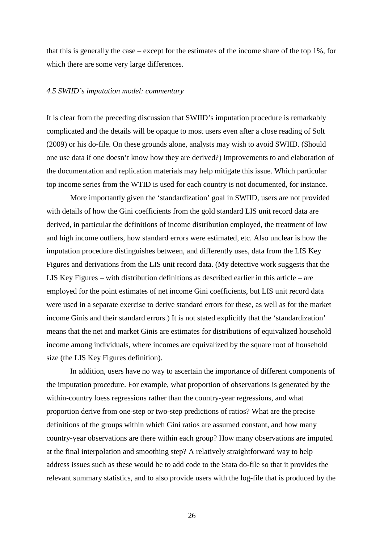that this is generally the case – except for the estimates of the income share of the top 1%, for which there are some very large differences.

#### *4.5 SWIID's imputation model: commentary*

It is clear from the preceding discussion that SWIID's imputation procedure is remarkably complicated and the details will be opaque to most users even after a close reading of Solt (2009) or his do-file. On these grounds alone, analysts may wish to avoid SWIID. (Should one use data if one doesn't know how they are derived?) Improvements to and elaboration of the documentation and replication materials may help mitigate this issue. Which particular top income series from the WTID is used for each country is not documented, for instance.

More importantly given the 'standardization' goal in SWIID, users are not provided with details of how the Gini coefficients from the gold standard LIS unit record data are derived, in particular the definitions of income distribution employed, the treatment of low and high income outliers, how standard errors were estimated, etc. Also unclear is how the imputation procedure distinguishes between, and differently uses, data from the LIS Key Figures and derivations from the LIS unit record data. (My detective work suggests that the LIS Key Figures – with distribution definitions as described earlier in this article – are employed for the point estimates of net income Gini coefficients, but LIS unit record data were used in a separate exercise to derive standard errors for these, as well as for the market income Ginis and their standard errors.) It is not stated explicitly that the 'standardization' means that the net and market Ginis are estimates for distributions of equivalized household income among individuals, where incomes are equivalized by the square root of household size (the LIS Key Figures definition).

In addition, users have no way to ascertain the importance of different components of the imputation procedure. For example, what proportion of observations is generated by the within-country loess regressions rather than the country-year regressions, and what proportion derive from one-step or two-step predictions of ratios? What are the precise definitions of the groups within which Gini ratios are assumed constant, and how many country-year observations are there within each group? How many observations are imputed at the final interpolation and smoothing step? A relatively straightforward way to help address issues such as these would be to add code to the Stata do-file so that it provides the relevant summary statistics, and to also provide users with the log-file that is produced by the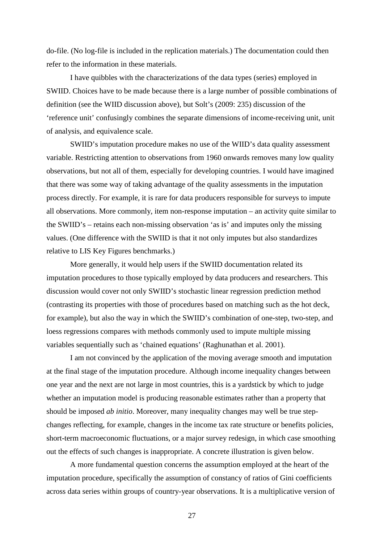do-file. (No log-file is included in the replication materials.) The documentation could then refer to the information in these materials.

I have quibbles with the characterizations of the data types (series) employed in SWIID. Choices have to be made because there is a large number of possible combinations of definition (see the WIID discussion above), but Solt's (2009: 235) discussion of the 'reference unit' confusingly combines the separate dimensions of income-receiving unit, unit of analysis, and equivalence scale.

SWIID's imputation procedure makes no use of the WIID's data quality assessment variable. Restricting attention to observations from 1960 onwards removes many low quality observations, but not all of them, especially for developing countries. I would have imagined that there was some way of taking advantage of the quality assessments in the imputation process directly. For example, it is rare for data producers responsible for surveys to impute all observations. More commonly, item non-response imputation – an activity quite similar to the SWIID's – retains each non-missing observation 'as is' and imputes only the missing values. (One difference with the SWIID is that it not only imputes but also standardizes relative to LIS Key Figures benchmarks.)

More generally, it would help users if the SWIID documentation related its imputation procedures to those typically employed by data producers and researchers. This discussion would cover not only SWIID's stochastic linear regression prediction method (contrasting its properties with those of procedures based on matching such as the hot deck, for example), but also the way in which the SWIID's combination of one-step, two-step, and loess regressions compares with methods commonly used to impute multiple missing variables sequentially such as 'chained equations' (Raghunathan et al. 2001).

I am not convinced by the application of the moving average smooth and imputation at the final stage of the imputation procedure. Although income inequality changes between one year and the next are not large in most countries, this is a yardstick by which to judge whether an imputation model is producing reasonable estimates rather than a property that should be imposed *ab initio*. Moreover, many inequality changes may well be true stepchanges reflecting, for example, changes in the income tax rate structure or benefits policies, short-term macroeconomic fluctuations, or a major survey redesign, in which case smoothing out the effects of such changes is inappropriate. A concrete illustration is given below.

A more fundamental question concerns the assumption employed at the heart of the imputation procedure, specifically the assumption of constancy of ratios of Gini coefficients across data series within groups of country-year observations. It is a multiplicative version of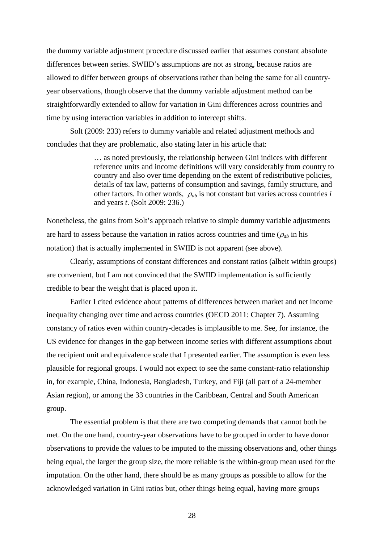the dummy variable adjustment procedure discussed earlier that assumes constant absolute differences between series. SWIID's assumptions are not as strong, because ratios are allowed to differ between groups of observations rather than being the same for all countryyear observations, though observe that the dummy variable adjustment method can be straightforwardly extended to allow for variation in Gini differences across countries and time by using interaction variables in addition to intercept shifts.

Solt (2009: 233) refers to dummy variable and related adjustment methods and concludes that they are problematic, also stating later in his article that:

> … as noted previously, the relationship between Gini indices with different reference units and income definitions will vary considerably from country to country and also over time depending on the extent of redistributive policies, details of tax law, patterns of consumption and savings, family structure, and other factors. In other words,  $\rho_{ab}$  is not constant but varies across countries *i* and years *t*. (Solt 2009: 236.)

Nonetheless, the gains from Solt's approach relative to simple dummy variable adjustments are hard to assess because the variation in ratios across countries and time ( $\rho_{ab}$  in his notation) that is actually implemented in SWIID is not apparent (see above).

Clearly, assumptions of constant differences and constant ratios (albeit within groups) are convenient, but I am not convinced that the SWIID implementation is sufficiently credible to bear the weight that is placed upon it.

Earlier I cited evidence about patterns of differences between market and net income inequality changing over time and across countries (OECD 2011: Chapter 7). Assuming constancy of ratios even within country-decades is implausible to me. See, for instance, the US evidence for changes in the gap between income series with different assumptions about the recipient unit and equivalence scale that I presented earlier. The assumption is even less plausible for regional groups. I would not expect to see the same constant-ratio relationship in, for example, China, Indonesia, Bangladesh, Turkey, and Fiji (all part of a 24-member Asian region), or among the 33 countries in the Caribbean, Central and South American group.

The essential problem is that there are two competing demands that cannot both be met. On the one hand, country-year observations have to be grouped in order to have donor observations to provide the values to be imputed to the missing observations and, other things being equal, the larger the group size, the more reliable is the within-group mean used for the imputation. On the other hand, there should be as many groups as possible to allow for the acknowledged variation in Gini ratios but, other things being equal, having more groups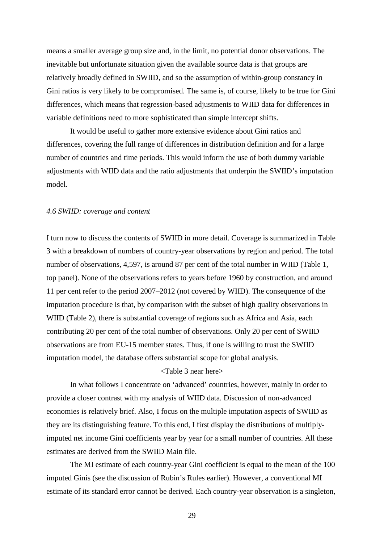means a smaller average group size and, in the limit, no potential donor observations. The inevitable but unfortunate situation given the available source data is that groups are relatively broadly defined in SWIID, and so the assumption of within-group constancy in Gini ratios is very likely to be compromised. The same is, of course, likely to be true for Gini differences, which means that regression-based adjustments to WIID data for differences in variable definitions need to more sophisticated than simple intercept shifts.

It would be useful to gather more extensive evidence about Gini ratios and differences, covering the full range of differences in distribution definition and for a large number of countries and time periods. This would inform the use of both dummy variable adjustments with WIID data and the ratio adjustments that underpin the SWIID's imputation model.

#### *4.6 SWIID: coverage and content*

I turn now to discuss the contents of SWIID in more detail. Coverage is summarized in Table 3 with a breakdown of numbers of country-year observations by region and period. The total number of observations, 4,597, is around 87 per cent of the total number in WIID (Table 1, top panel). None of the observations refers to years before 1960 by construction, and around 11 per cent refer to the period 2007–2012 (not covered by WIID). The consequence of the imputation procedure is that, by comparison with the subset of high quality observations in WIID (Table 2), there is substantial coverage of regions such as Africa and Asia, each contributing 20 per cent of the total number of observations. Only 20 per cent of SWIID observations are from EU-15 member states. Thus, if one is willing to trust the SWIID imputation model, the database offers substantial scope for global analysis.

#### <Table 3 near here>

In what follows I concentrate on 'advanced' countries, however, mainly in order to provide a closer contrast with my analysis of WIID data. Discussion of non-advanced economies is relatively brief. Also, I focus on the multiple imputation aspects of SWIID as they are its distinguishing feature. To this end, I first display the distributions of multiplyimputed net income Gini coefficients year by year for a small number of countries. All these estimates are derived from the SWIID Main file.

The MI estimate of each country-year Gini coefficient is equal to the mean of the 100 imputed Ginis (see the discussion of Rubin's Rules earlier). However, a conventional MI estimate of its standard error cannot be derived. Each country-year observation is a singleton,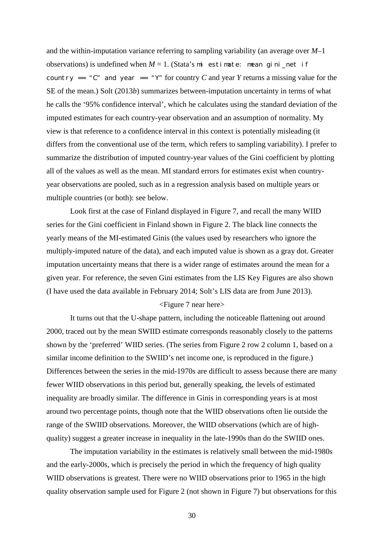and the within-imputation variance referring to sampling variability (an average over *M*–1 observations) is undefined when  $M = 1$ . (Stata's mi estimate: mean gini net if country  $=$  "C" and year  $=$  "Y" for country C and year Y returns a missing value for the SE of the mean.) Solt (2013*b*) summarizes between-imputation uncertainty in terms of what he calls the '95% confidence interval', which he calculates using the standard deviation of the imputed estimates for each country-year observation and an assumption of normality. My view is that reference to a confidence interval in this context is potentially misleading (it differs from the conventional use of the term, which refers to sampling variability). I prefer to summarize the distribution of imputed country-year values of the Gini coefficient by plotting all of the values as well as the mean. MI standard errors for estimates exist when countryyear observations are pooled, such as in a regression analysis based on multiple years or multiple countries (or both): see below.

Look first at the case of Finland displayed in Figure 7, and recall the many WIID series for the Gini coefficient in Finland shown in Figure 2. The black line connects the yearly means of the MI-estimated Ginis (the values used by researchers who ignore the multiply-imputed nature of the data), and each imputed value is shown as a gray dot. Greater imputation uncertainty means that there is a wider range of estimates around the mean for a given year. For reference, the seven Gini estimates from the LIS Key Figures are also shown (I have used the data available in February 2014; Solt's LIS data are from June 2013).

#### <Figure 7 near here>

It turns out that the U-shape pattern, including the noticeable flattening out around 2000, traced out by the mean SWIID estimate corresponds reasonably closely to the patterns shown by the 'preferred' WIID series. (The series from Figure 2 row 2 column 1, based on a similar income definition to the SWIID's net income one, is reproduced in the figure.) Differences between the series in the mid-1970s are difficult to assess because there are many fewer WIID observations in this period but, generally speaking, the levels of estimated inequality are broadly similar. The difference in Ginis in corresponding years is at most around two percentage points, though note that the WIID observations often lie outside the range of the SWIID observations. Moreover, the WIID observations (which are of highquality) suggest a greater increase in inequality in the late-1990s than do the SWIID ones.

The imputation variability in the estimates is relatively small between the mid-1980s and the early-2000s, which is precisely the period in which the frequency of high quality WIID observations is greatest. There were no WIID observations prior to 1965 in the high quality observation sample used for Figure 2 (not shown in Figure 7) but observations for this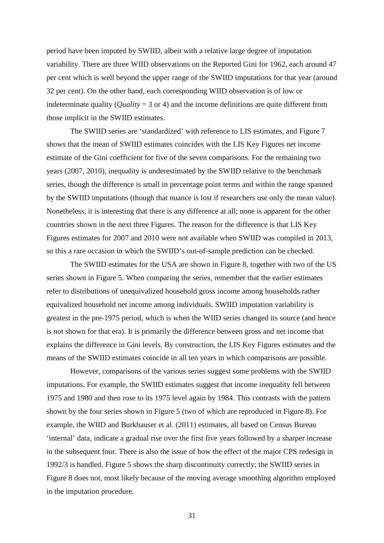period have been imputed by SWIID, albeit with a relative large degree of imputation variability. There are three WIID observations on the Reported Gini for 1962, each around 47 per cent which is well beyond the upper range of the SWIID imputations for that year (around 32 per cent). On the other hand, each corresponding WIID observation is of low or indeterminate quality (*Quality* = 3 or 4) and the income definitions are quite different from those implicit in the SWIID estimates.

The SWIID series are 'standardized' with reference to LIS estimates, and Figure 7 shows that the mean of SWIID estimates coincides with the LIS Key Figures net income estimate of the Gini coefficient for five of the seven comparisons. For the remaining two years (2007, 2010), inequality is underestimated by the SWIID relative to the benchmark series, though the difference is small in percentage point terms and within the range spanned by the SWIID imputations (though that nuance is lost if researchers use only the mean value). Nonetheless, it is interesting that there is any difference at all; none is apparent for the other countries shown in the next three Figures. The reason for the difference is that LIS Key Figures estimates for 2007 and 2010 were not available when SWIID was compiled in 2013, so this a rare occasion in which the SWIID's out-of-sample prediction can be checked.

The SWIID estimates for the USA are shown in Figure 8, together with two of the US series shown in Figure 5. When comparing the series, remember that the earlier estimates refer to distributions of unequivalized household gross income among households rather equivalized household net income among individuals. SWIID imputation variability is greatest in the pre-1975 period, which is when the WIID series changed its source (and hence is not shown for that era). It is primarily the difference between gross and net income that explains the difference in Gini levels. By construction, the LIS Key Figures estimates and the means of the SWIID estimates coincide in all ten years in which comparisons are possible.

However, comparisons of the various series suggest some problems with the SWIID imputations. For example, the SWIID estimates suggest that income inequality fell between 1975 and 1980 and then rose to its 1975 level again by 1984. This contrasts with the pattern shown by the four series shown in Figure 5 (two of which are reproduced in Figure 8). For example, the WIID and Burkhauser et al. (2011) estimates, all based on Census Bureau 'internal' data, indicate a gradual rise over the first five years followed by a sharper increase in the subsequent four. There is also the issue of how the effect of the major CPS redesign in 1992/3 is handled. Figure 5 shows the sharp discontinuity correctly; the SWIID series in Figure 8 does not, most likely because of the moving average smoothing algorithm employed in the imputation procedure.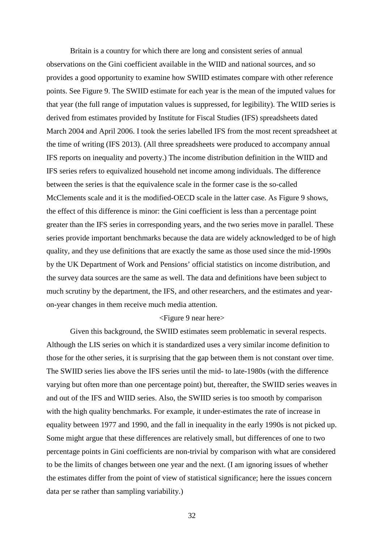Britain is a country for which there are long and consistent series of annual observations on the Gini coefficient available in the WIID and national sources, and so provides a good opportunity to examine how SWIID estimates compare with other reference points. See Figure 9. The SWIID estimate for each year is the mean of the imputed values for that year (the full range of imputation values is suppressed, for legibility). The WIID series is derived from estimates provided by Institute for Fiscal Studies (IFS) spreadsheets dated March 2004 and April 2006. I took the series labelled IFS from the most recent spreadsheet at the time of writing (IFS 2013). (All three spreadsheets were produced to accompany annual IFS reports on inequality and poverty.) The income distribution definition in the WIID and IFS series refers to equivalized household net income among individuals. The difference between the series is that the equivalence scale in the former case is the so-called McClements scale and it is the modified-OECD scale in the latter case. As Figure 9 shows, the effect of this difference is minor: the Gini coefficient is less than a percentage point greater than the IFS series in corresponding years, and the two series move in parallel. These series provide important benchmarks because the data are widely acknowledged to be of high quality, and they use definitions that are exactly the same as those used since the mid-1990s by the UK Department of Work and Pensions' official statistics on income distribution, and the survey data sources are the same as well. The data and definitions have been subject to much scrutiny by the department, the IFS, and other researchers, and the estimates and yearon-year changes in them receive much media attention.

#### <Figure 9 near here>

Given this background, the SWIID estimates seem problematic in several respects. Although the LIS series on which it is standardized uses a very similar income definition to those for the other series, it is surprising that the gap between them is not constant over time. The SWIID series lies above the IFS series until the mid- to late-1980s (with the difference varying but often more than one percentage point) but, thereafter, the SWIID series weaves in and out of the IFS and WIID series. Also, the SWIID series is too smooth by comparison with the high quality benchmarks. For example, it under-estimates the rate of increase in equality between 1977 and 1990, and the fall in inequality in the early 1990s is not picked up. Some might argue that these differences are relatively small, but differences of one to two percentage points in Gini coefficients are non-trivial by comparison with what are considered to be the limits of changes between one year and the next. (I am ignoring issues of whether the estimates differ from the point of view of statistical significance; here the issues concern data per se rather than sampling variability.)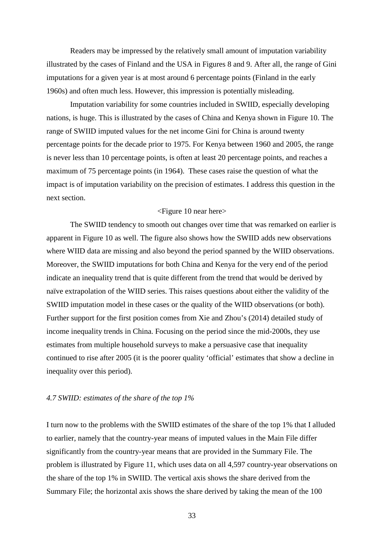Readers may be impressed by the relatively small amount of imputation variability illustrated by the cases of Finland and the USA in Figures 8 and 9. After all, the range of Gini imputations for a given year is at most around 6 percentage points (Finland in the early 1960s) and often much less. However, this impression is potentially misleading.

Imputation variability for some countries included in SWIID, especially developing nations, is huge. This is illustrated by the cases of China and Kenya shown in Figure 10. The range of SWIID imputed values for the net income Gini for China is around twenty percentage points for the decade prior to 1975. For Kenya between 1960 and 2005, the range is never less than 10 percentage points, is often at least 20 percentage points, and reaches a maximum of 75 percentage points (in 1964). These cases raise the question of what the impact is of imputation variability on the precision of estimates. I address this question in the next section.

#### <Figure 10 near here>

The SWIID tendency to smooth out changes over time that was remarked on earlier is apparent in Figure 10 as well. The figure also shows how the SWIID adds new observations where WIID data are missing and also beyond the period spanned by the WIID observations. Moreover, the SWIID imputations for both China and Kenya for the very end of the period indicate an inequality trend that is quite different from the trend that would be derived by naïve extrapolation of the WIID series. This raises questions about either the validity of the SWIID imputation model in these cases or the quality of the WIID observations (or both). Further support for the first position comes from Xie and Zhou's (2014) detailed study of income inequality trends in China. Focusing on the period since the mid-2000s, they use estimates from multiple household surveys to make a persuasive case that inequality continued to rise after 2005 (it is the poorer quality 'official' estimates that show a decline in inequality over this period).

#### *4.7 SWIID: estimates of the share of the top 1%*

I turn now to the problems with the SWIID estimates of the share of the top 1% that I alluded to earlier, namely that the country-year means of imputed values in the Main File differ significantly from the country-year means that are provided in the Summary File. The problem is illustrated by Figure 11, which uses data on all 4,597 country-year observations on the share of the top 1% in SWIID. The vertical axis shows the share derived from the Summary File; the horizontal axis shows the share derived by taking the mean of the 100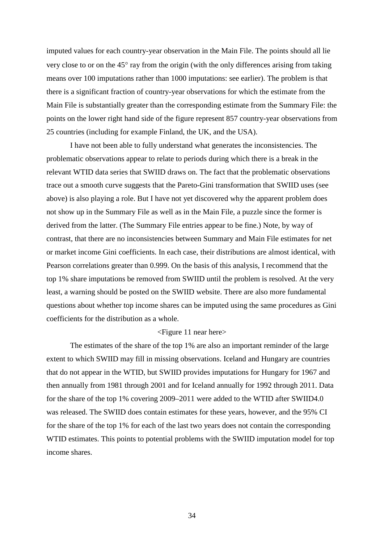imputed values for each country-year observation in the Main File. The points should all lie very close to or on the 45° ray from the origin (with the only differences arising from taking means over 100 imputations rather than 1000 imputations: see earlier). The problem is that there is a significant fraction of country-year observations for which the estimate from the Main File is substantially greater than the corresponding estimate from the Summary File: the points on the lower right hand side of the figure represent 857 country-year observations from 25 countries (including for example Finland, the UK, and the USA).

I have not been able to fully understand what generates the inconsistencies. The problematic observations appear to relate to periods during which there is a break in the relevant WTID data series that SWIID draws on. The fact that the problematic observations trace out a smooth curve suggests that the Pareto-Gini transformation that SWIID uses (see above) is also playing a role. But I have not yet discovered why the apparent problem does not show up in the Summary File as well as in the Main File, a puzzle since the former is derived from the latter. (The Summary File entries appear to be fine.) Note, by way of contrast, that there are no inconsistencies between Summary and Main File estimates for net or market income Gini coefficients. In each case, their distributions are almost identical, with Pearson correlations greater than 0.999. On the basis of this analysis, I recommend that the top 1% share imputations be removed from SWIID until the problem is resolved. At the very least, a warning should be posted on the SWIID website. There are also more fundamental questions about whether top income shares can be imputed using the same procedures as Gini coefficients for the distribution as a whole.

#### <Figure 11 near here>

The estimates of the share of the top 1% are also an important reminder of the large extent to which SWIID may fill in missing observations. Iceland and Hungary are countries that do not appear in the WTID, but SWIID provides imputations for Hungary for 1967 and then annually from 1981 through 2001 and for Iceland annually for 1992 through 2011. Data for the share of the top 1% covering 2009–2011 were added to the WTID after SWIID4.0 was released. The SWIID does contain estimates for these years, however, and the 95% CI for the share of the top 1% for each of the last two years does not contain the corresponding WTID estimates. This points to potential problems with the SWIID imputation model for top income shares.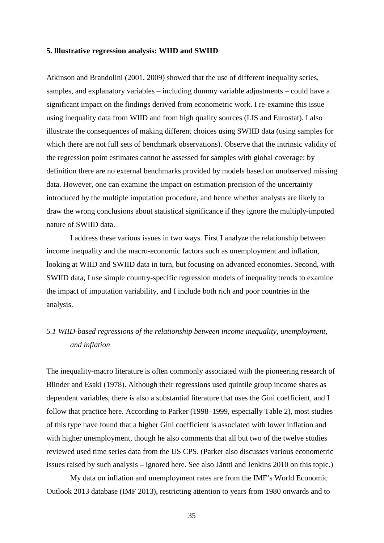#### **5.** I**llustrative regression analysis: WIID and SWIID**

Atkinson and Brandolini (2001, 2009) showed that the use of different inequality series, samples, and explanatory variables – including dummy variable adjustments – could have a significant impact on the findings derived from econometric work. I re-examine this issue using inequality data from WIID and from high quality sources (LIS and Eurostat). I also illustrate the consequences of making different choices using SWIID data (using samples for which there are not full sets of benchmark observations). Observe that the intrinsic validity of the regression point estimates cannot be assessed for samples with global coverage: by definition there are no external benchmarks provided by models based on unobserved missing data. However, one can examine the impact on estimation precision of the uncertainty introduced by the multiple imputation procedure, and hence whether analysts are likely to draw the wrong conclusions about statistical significance if they ignore the multiply-imputed nature of SWIID data.

I address these various issues in two ways. First I analyze the relationship between income inequality and the macro-economic factors such as unemployment and inflation, looking at WIID and SWIID data in turn, but focusing on advanced economies. Second, with SWIID data, I use simple country-specific regression models of inequality trends to examine the impact of imputation variability, and I include both rich and poor countries in the analysis.

# *5.1 WIID-based regressions of the relationship between income inequality, unemployment, and inflation*

The inequality-macro literature is often commonly associated with the pioneering research of Blinder and Esaki (1978). Although their regressions used quintile group income shares as dependent variables, there is also a substantial literature that uses the Gini coefficient, and I follow that practice here. According to Parker (1998–1999, especially Table 2), most studies of this type have found that a higher Gini coefficient is associated with lower inflation and with higher unemployment, though he also comments that all but two of the twelve studies reviewed used time series data from the US CPS. (Parker also discusses various econometric issues raised by such analysis – ignored here. See also Jäntti and Jenkins 2010 on this topic.)

My data on inflation and unemployment rates are from the IMF's World Economic Outlook 2013 database (IMF 2013), restricting attention to years from 1980 onwards and to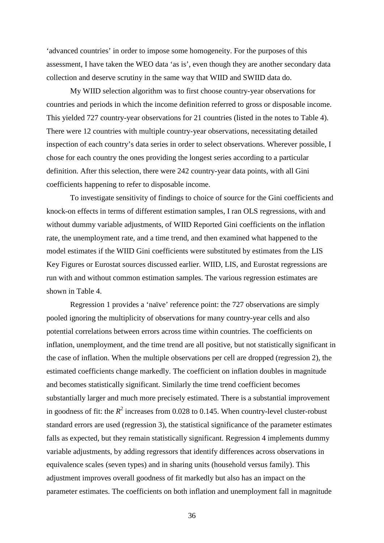'advanced countries' in order to impose some homogeneity. For the purposes of this assessment, I have taken the WEO data 'as is', even though they are another secondary data collection and deserve scrutiny in the same way that WIID and SWIID data do.

My WIID selection algorithm was to first choose country-year observations for countries and periods in which the income definition referred to gross or disposable income. This yielded 727 country-year observations for 21 countries (listed in the notes to Table 4). There were 12 countries with multiple country-year observations, necessitating detailed inspection of each country's data series in order to select observations. Wherever possible, I chose for each country the ones providing the longest series according to a particular definition. After this selection, there were 242 country-year data points, with all Gini coefficients happening to refer to disposable income.

To investigate sensitivity of findings to choice of source for the Gini coefficients and knock-on effects in terms of different estimation samples, I ran OLS regressions, with and without dummy variable adjustments, of WIID Reported Gini coefficients on the inflation rate, the unemployment rate, and a time trend, and then examined what happened to the model estimates if the WIID Gini coefficients were substituted by estimates from the LIS Key Figures or Eurostat sources discussed earlier. WIID, LIS, and Eurostat regressions are run with and without common estimation samples. The various regression estimates are shown in Table 4.

Regression 1 provides a 'naïve' reference point: the 727 observations are simply pooled ignoring the multiplicity of observations for many country-year cells and also potential correlations between errors across time within countries. The coefficients on inflation, unemployment, and the time trend are all positive, but not statistically significant in the case of inflation. When the multiple observations per cell are dropped (regression 2), the estimated coefficients change markedly. The coefficient on inflation doubles in magnitude and becomes statistically significant. Similarly the time trend coefficient becomes substantially larger and much more precisely estimated. There is a substantial improvement in goodness of fit: the  $R^2$  increases from 0.028 to 0.145. When country-level cluster-robust standard errors are used (regression 3), the statistical significance of the parameter estimates falls as expected, but they remain statistically significant. Regression 4 implements dummy variable adjustments, by adding regressors that identify differences across observations in equivalence scales (seven types) and in sharing units (household versus family). This adjustment improves overall goodness of fit markedly but also has an impact on the parameter estimates. The coefficients on both inflation and unemployment fall in magnitude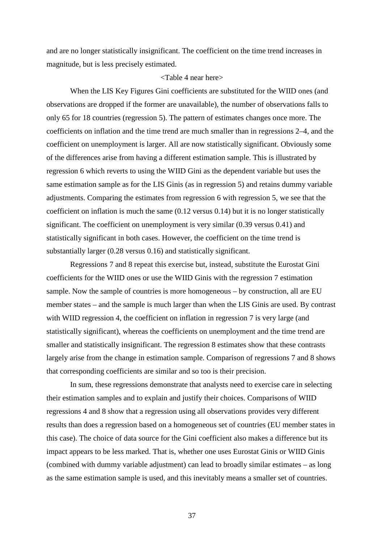and are no longer statistically insignificant. The coefficient on the time trend increases in magnitude, but is less precisely estimated.

#### <Table 4 near here>

When the LIS Key Figures Gini coefficients are substituted for the WIID ones (and observations are dropped if the former are unavailable), the number of observations falls to only 65 for 18 countries (regression 5). The pattern of estimates changes once more. The coefficients on inflation and the time trend are much smaller than in regressions 2–4, and the coefficient on unemployment is larger. All are now statistically significant. Obviously some of the differences arise from having a different estimation sample. This is illustrated by regression 6 which reverts to using the WIID Gini as the dependent variable but uses the same estimation sample as for the LIS Ginis (as in regression 5) and retains dummy variable adjustments. Comparing the estimates from regression 6 with regression 5, we see that the coefficient on inflation is much the same (0.12 versus 0.14) but it is no longer statistically significant. The coefficient on unemployment is very similar (0.39 versus 0.41) and statistically significant in both cases. However, the coefficient on the time trend is substantially larger (0.28 versus 0.16) and statistically significant.

Regressions 7 and 8 repeat this exercise but, instead, substitute the Eurostat Gini coefficients for the WIID ones or use the WIID Ginis with the regression 7 estimation sample. Now the sample of countries is more homogeneous – by construction, all are EU member states – and the sample is much larger than when the LIS Ginis are used. By contrast with WIID regression 4, the coefficient on inflation in regression 7 is very large (and statistically significant), whereas the coefficients on unemployment and the time trend are smaller and statistically insignificant. The regression 8 estimates show that these contrasts largely arise from the change in estimation sample. Comparison of regressions 7 and 8 shows that corresponding coefficients are similar and so too is their precision.

In sum, these regressions demonstrate that analysts need to exercise care in selecting their estimation samples and to explain and justify their choices. Comparisons of WIID regressions 4 and 8 show that a regression using all observations provides very different results than does a regression based on a homogeneous set of countries (EU member states in this case). The choice of data source for the Gini coefficient also makes a difference but its impact appears to be less marked. That is, whether one uses Eurostat Ginis or WIID Ginis (combined with dummy variable adjustment) can lead to broadly similar estimates – as long as the same estimation sample is used, and this inevitably means a smaller set of countries.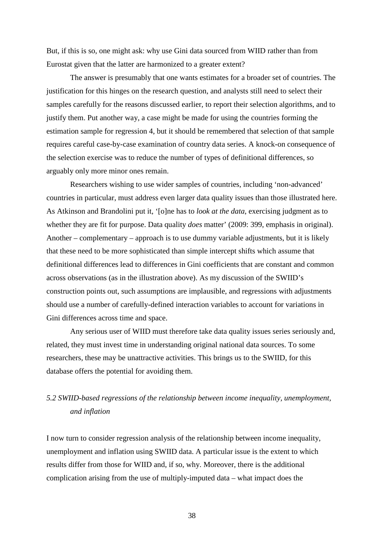But, if this is so, one might ask: why use Gini data sourced from WIID rather than from Eurostat given that the latter are harmonized to a greater extent?

The answer is presumably that one wants estimates for a broader set of countries. The justification for this hinges on the research question, and analysts still need to select their samples carefully for the reasons discussed earlier, to report their selection algorithms, and to justify them. Put another way, a case might be made for using the countries forming the estimation sample for regression 4, but it should be remembered that selection of that sample requires careful case-by-case examination of country data series. A knock-on consequence of the selection exercise was to reduce the number of types of definitional differences, so arguably only more minor ones remain.

Researchers wishing to use wider samples of countries, including 'non-advanced' countries in particular, must address even larger data quality issues than those illustrated here. As Atkinson and Brandolini put it, '[o]ne has to *look at the data*, exercising judgment as to whether they are fit for purpose. Data quality *does* matter' (2009: 399, emphasis in original). Another – complementary – approach is to use dummy variable adjustments, but it is likely that these need to be more sophisticated than simple intercept shifts which assume that definitional differences lead to differences in Gini coefficients that are constant and common across observations (as in the illustration above). As my discussion of the SWIID's construction points out, such assumptions are implausible, and regressions with adjustments should use a number of carefully-defined interaction variables to account for variations in Gini differences across time and space.

Any serious user of WIID must therefore take data quality issues series seriously and, related, they must invest time in understanding original national data sources. To some researchers, these may be unattractive activities. This brings us to the SWIID, for this database offers the potential for avoiding them.

# *5.2 SWIID-based regressions of the relationship between income inequality, unemployment, and inflation*

I now turn to consider regression analysis of the relationship between income inequality, unemployment and inflation using SWIID data. A particular issue is the extent to which results differ from those for WIID and, if so, why. Moreover, there is the additional complication arising from the use of multiply-imputed data – what impact does the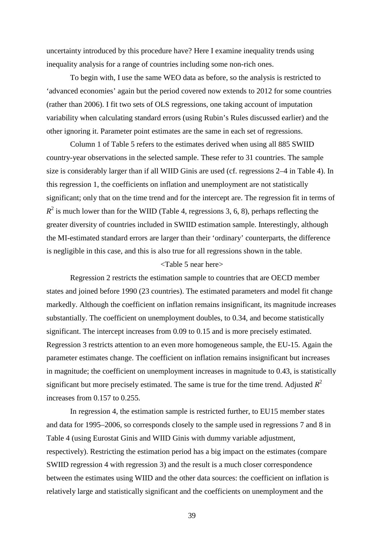uncertainty introduced by this procedure have? Here I examine inequality trends using inequality analysis for a range of countries including some non-rich ones.

To begin with, I use the same WEO data as before, so the analysis is restricted to 'advanced economies' again but the period covered now extends to 2012 for some countries (rather than 2006). I fit two sets of OLS regressions, one taking account of imputation variability when calculating standard errors (using Rubin's Rules discussed earlier) and the other ignoring it. Parameter point estimates are the same in each set of regressions.

Column 1 of Table 5 refers to the estimates derived when using all 885 SWIID country-year observations in the selected sample. These refer to 31 countries. The sample size is considerably larger than if all WIID Ginis are used (cf. regressions 2–4 in Table 4). In this regression 1, the coefficients on inflation and unemployment are not statistically significant; only that on the time trend and for the intercept are. The regression fit in terms of  $R^2$  is much lower than for the WIID (Table 4, regressions 3, 6, 8), perhaps reflecting the greater diversity of countries included in SWIID estimation sample. Interestingly, although the MI-estimated standard errors are larger than their 'ordinary' counterparts, the difference is negligible in this case, and this is also true for all regressions shown in the table.

#### <Table 5 near here>

Regression 2 restricts the estimation sample to countries that are OECD member states and joined before 1990 (23 countries). The estimated parameters and model fit change markedly. Although the coefficient on inflation remains insignificant, its magnitude increases substantially. The coefficient on unemployment doubles, to 0.34, and become statistically significant. The intercept increases from 0.09 to 0.15 and is more precisely estimated. Regression 3 restricts attention to an even more homogeneous sample, the EU-15. Again the parameter estimates change. The coefficient on inflation remains insignificant but increases in magnitude; the coefficient on unemployment increases in magnitude to 0.43, is statistically significant but more precisely estimated. The same is true for the time trend. Adjusted  $R^2$ increases from 0.157 to 0.255.

In regression 4, the estimation sample is restricted further, to EU15 member states and data for 1995–2006, so corresponds closely to the sample used in regressions 7 and 8 in Table 4 (using Eurostat Ginis and WIID Ginis with dummy variable adjustment, respectively). Restricting the estimation period has a big impact on the estimates (compare SWIID regression 4 with regression 3) and the result is a much closer correspondence between the estimates using WIID and the other data sources: the coefficient on inflation is relatively large and statistically significant and the coefficients on unemployment and the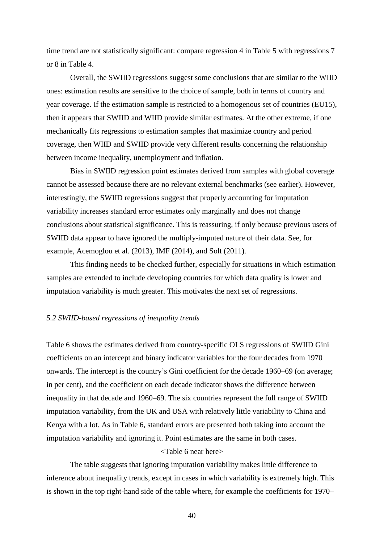time trend are not statistically significant: compare regression 4 in Table 5 with regressions 7 or 8 in Table 4.

Overall, the SWIID regressions suggest some conclusions that are similar to the WIID ones: estimation results are sensitive to the choice of sample, both in terms of country and year coverage. If the estimation sample is restricted to a homogenous set of countries (EU15), then it appears that SWIID and WIID provide similar estimates. At the other extreme, if one mechanically fits regressions to estimation samples that maximize country and period coverage, then WIID and SWIID provide very different results concerning the relationship between income inequality, unemployment and inflation.

Bias in SWIID regression point estimates derived from samples with global coverage cannot be assessed because there are no relevant external benchmarks (see earlier). However, interestingly, the SWIID regressions suggest that properly accounting for imputation variability increases standard error estimates only marginally and does not change conclusions about statistical significance. This is reassuring, if only because previous users of SWIID data appear to have ignored the multiply-imputed nature of their data. See, for example, Acemoglou et al. (2013), IMF (2014), and Solt (2011).

This finding needs to be checked further, especially for situations in which estimation samples are extended to include developing countries for which data quality is lower and imputation variability is much greater. This motivates the next set of regressions.

#### *5.2 SWIID-based regressions of inequality trends*

Table 6 shows the estimates derived from country-specific OLS regressions of SWIID Gini coefficients on an intercept and binary indicator variables for the four decades from 1970 onwards. The intercept is the country's Gini coefficient for the decade 1960–69 (on average; in per cent), and the coefficient on each decade indicator shows the difference between inequality in that decade and 1960–69. The six countries represent the full range of SWIID imputation variability, from the UK and USA with relatively little variability to China and Kenya with a lot. As in Table 6, standard errors are presented both taking into account the imputation variability and ignoring it. Point estimates are the same in both cases.

#### <Table 6 near here>

The table suggests that ignoring imputation variability makes little difference to inference about inequality trends, except in cases in which variability is extremely high. This is shown in the top right-hand side of the table where, for example the coefficients for 1970–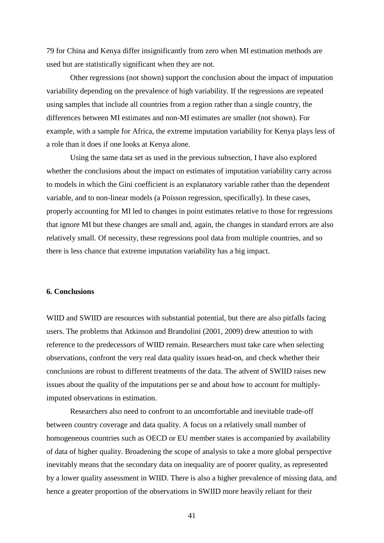79 for China and Kenya differ insignificantly from zero when MI estimation methods are used but are statistically significant when they are not.

Other regressions (not shown) support the conclusion about the impact of imputation variability depending on the prevalence of high variability. If the regressions are repeated using samples that include all countries from a region rather than a single country, the differences between MI estimates and non-MI estimates are smaller (not shown). For example, with a sample for Africa, the extreme imputation variability for Kenya plays less of a role than it does if one looks at Kenya alone.

Using the same data set as used in the previous subsection, I have also explored whether the conclusions about the impact on estimates of imputation variability carry across to models in which the Gini coefficient is an explanatory variable rather than the dependent variable, and to non-linear models (a Poisson regression, specifically). In these cases, properly accounting for MI led to changes in point estimates relative to those for regressions that ignore MI but these changes are small and, again, the changes in standard errors are also relatively small. Of necessity, these regressions pool data from multiple countries, and so there is less chance that extreme imputation variability has a big impact.

#### **6. Conclusions**

WIID and SWIID are resources with substantial potential, but there are also pitfalls facing users. The problems that Atkinson and Brandolini (2001, 2009) drew attention to with reference to the predecessors of WIID remain. Researchers must take care when selecting observations, confront the very real data quality issues head-on, and check whether their conclusions are robust to different treatments of the data. The advent of SWIID raises new issues about the quality of the imputations per se and about how to account for multiplyimputed observations in estimation.

Researchers also need to confront to an uncomfortable and inevitable trade-off between country coverage and data quality. A focus on a relatively small number of homogeneous countries such as OECD or EU member states is accompanied by availability of data of higher quality. Broadening the scope of analysis to take a more global perspective inevitably means that the secondary data on inequality are of poorer quality, as represented by a lower quality assessment in WIID. There is also a higher prevalence of missing data, and hence a greater proportion of the observations in SWIID more heavily reliant for their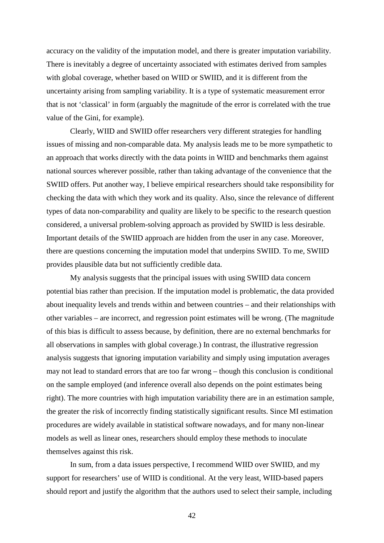accuracy on the validity of the imputation model, and there is greater imputation variability. There is inevitably a degree of uncertainty associated with estimates derived from samples with global coverage, whether based on WIID or SWIID, and it is different from the uncertainty arising from sampling variability. It is a type of systematic measurement error that is not 'classical' in form (arguably the magnitude of the error is correlated with the true value of the Gini, for example).

Clearly, WIID and SWIID offer researchers very different strategies for handling issues of missing and non-comparable data. My analysis leads me to be more sympathetic to an approach that works directly with the data points in WIID and benchmarks them against national sources wherever possible, rather than taking advantage of the convenience that the SWIID offers. Put another way, I believe empirical researchers should take responsibility for checking the data with which they work and its quality. Also, since the relevance of different types of data non-comparability and quality are likely to be specific to the research question considered, a universal problem-solving approach as provided by SWIID is less desirable. Important details of the SWIID approach are hidden from the user in any case. Moreover, there are questions concerning the imputation model that underpins SWIID. To me, SWIID provides plausible data but not sufficiently credible data.

My analysis suggests that the principal issues with using SWIID data concern potential bias rather than precision. If the imputation model is problematic, the data provided about inequality levels and trends within and between countries – and their relationships with other variables – are incorrect, and regression point estimates will be wrong. (The magnitude of this bias is difficult to assess because, by definition, there are no external benchmarks for all observations in samples with global coverage.) In contrast, the illustrative regression analysis suggests that ignoring imputation variability and simply using imputation averages may not lead to standard errors that are too far wrong – though this conclusion is conditional on the sample employed (and inference overall also depends on the point estimates being right). The more countries with high imputation variability there are in an estimation sample, the greater the risk of incorrectly finding statistically significant results. Since MI estimation procedures are widely available in statistical software nowadays, and for many non-linear models as well as linear ones, researchers should employ these methods to inoculate themselves against this risk.

In sum, from a data issues perspective, I recommend WIID over SWIID, and my support for researchers' use of WIID is conditional. At the very least, WIID-based papers should report and justify the algorithm that the authors used to select their sample, including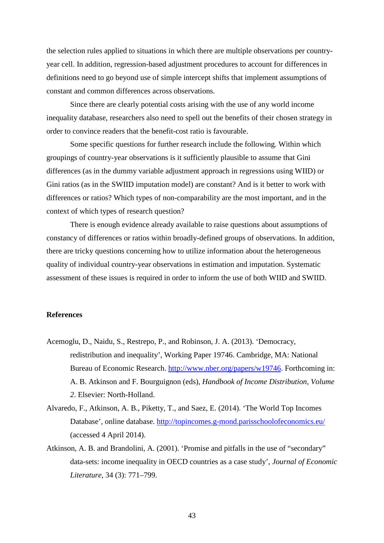the selection rules applied to situations in which there are multiple observations per countryyear cell. In addition, regression-based adjustment procedures to account for differences in definitions need to go beyond use of simple intercept shifts that implement assumptions of constant and common differences across observations.

Since there are clearly potential costs arising with the use of any world income inequality database, researchers also need to spell out the benefits of their chosen strategy in order to convince readers that the benefit-cost ratio is favourable.

Some specific questions for further research include the following. Within which groupings of country-year observations is it sufficiently plausible to assume that Gini differences (as in the dummy variable adjustment approach in regressions using WIID) or Gini ratios (as in the SWIID imputation model) are constant? And is it better to work with differences or ratios? Which types of non-comparability are the most important, and in the context of which types of research question?

There is enough evidence already available to raise questions about assumptions of constancy of differences or ratios within broadly-defined groups of observations. In addition, there are tricky questions concerning how to utilize information about the heterogeneous quality of individual country-year observations in estimation and imputation. Systematic assessment of these issues is required in order to inform the use of both WIID and SWIID.

#### **References**

- Acemoglu, D., Naidu, S., Restrepo, P., and Robinson, J. A. (2013). 'Democracy, redistribution and inequality', Working Paper 19746. Cambridge, MA: National Bureau of Economic Research. [http://www.nber.org/papers/w19746.](http://www.nber.org/papers/w19746) Forthcoming in: A. B. Atkinson and F. Bourguignon (eds), *Handbook of Income Distribution, Volume 2*. Elsevier: North-Holland.
- Alvaredo, F., Atkinson, A. B., Piketty, T., and Saez, E. (2014). 'The World Top Incomes Database', online database.<http://topincomes.g-mond.parisschoolofeconomics.eu/> (accessed 4 April 2014).
- Atkinson, A. B. and Brandolini, A. (2001). 'Promise and pitfalls in the use of "secondary" data-sets: income inequality in OECD countries as a case study', *Journal of Economic Literature*, 34 (3): 771–799.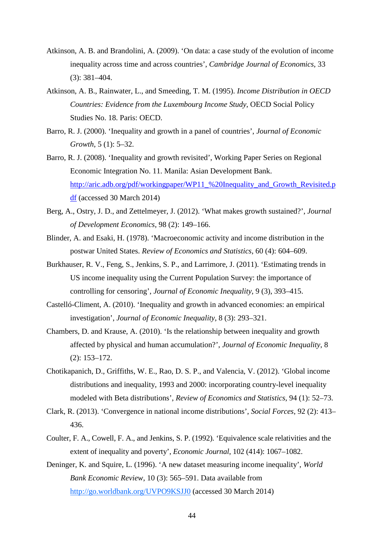- Atkinson, A. B. and Brandolini, A. (2009). 'On data: a case study of the evolution of income inequality across time and across countries', *Cambridge Journal of Economics*, 33 (3): 381–404.
- Atkinson, A. B., Rainwater, L., and Smeeding, T. M. (1995). *Income Distribution in OECD Countries: Evidence from the Luxembourg Income Study*, OECD Social Policy Studies No. 18. Paris: OECD.
- Barro, R. J. (2000). 'Inequality and growth in a panel of countries', *Journal of Economic Growth*, 5 (1): 5–32.
- Barro, R. J. (2008). 'Inequality and growth revisited', Working Paper Series on Regional Economic Integration No. 11. Manila: Asian Development Bank. [http://aric.adb.org/pdf/workingpaper/WP11\\_%20Inequality\\_and\\_Growth\\_Revisited.p](http://aric.adb.org/pdf/workingpaper/WP11_%20Inequality_and_Growth_Revisited.pdf) [df](http://aric.adb.org/pdf/workingpaper/WP11_%20Inequality_and_Growth_Revisited.pdf) (accessed 30 March 2014)
- Berg, A., Ostry, J. D., and Zettelmeyer, J. (2012). 'What makes growth sustained?', *Journal of Development Economics*, 98 (2): 149–166.
- Blinder, A. and Esaki, H. (1978). 'Macroeconomic activity and income distribution in the postwar United States. *Review of Economics and Statistics*, 60 (4): 604–609.
- Burkhauser, R. V., Feng, S., Jenkins, S. P., and Larrimore, J. (2011). 'Estimating trends in US income inequality using the Current Population Survey: the importance of controlling for censoring', *Journal of Economic Inequality*, 9 (3), 393–415.
- Castelló-Climent, A. (2010). 'Inequality and growth in advanced economies: an empirical investigation', *Journal of Economic Inequality*, 8 (3): 293–321.
- Chambers, D. and Krause, A. (2010). 'Is the relationship between inequality and growth affected by physical and human accumulation?', *Journal of Economic Inequality*, 8 (2): 153–172.
- Chotikapanich, D., Griffiths, W. E., Rao, D. S. P., and Valencia, V. (2012). 'Global income distributions and inequality, 1993 and 2000: incorporating country-level inequality modeled with Beta distributions', *Review of Economics and Statistics*, 94 (1): 52–73.
- Clark, R. (2013). 'Convergence in national income distributions', *Social Forces*, 92 (2): 413– 436.
- Coulter, F. A., Cowell, F. A., and Jenkins, S. P. (1992). 'Equivalence scale relativities and the extent of inequality and poverty', *Economic Journal*, 102 (414): 1067–1082.
- Deninger, K. and Squire, L. (1996). 'A new dataset measuring income inequality', *World Bank Economic Review*, 10 (3): 565–591. Data available from <http://go.worldbank.org/UVPO9KSJJ0> (accessed 30 March 2014)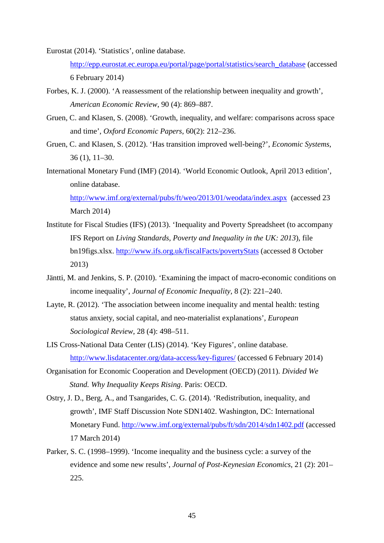Eurostat (2014). 'Statistics', online database.

- [http://epp.eurostat.ec.europa.eu/portal/page/portal/statistics/search\\_database](http://epp.eurostat.ec.europa.eu/portal/page/portal/statistics/search_database) (accessed 6 February 2014)
- Forbes, K. J. (2000). 'A reassessment of the relationship between inequality and growth', *American Economic Review*, 90 (4): 869–887.
- Gruen, C. and Klasen, S. (2008). 'Growth, inequality, and welfare: comparisons across space and time', *Oxford Economic Papers*, 60(2): 212–236.
- Gruen, C. and Klasen, S. (2012). 'Has transition improved well-being?', *Economic Systems*, 36 (1), 11–30.
- International Monetary Fund (IMF) (2014). 'World Economic Outlook, April 2013 edition', online database.

<http://www.imf.org/external/pubs/ft/weo/2013/01/weodata/index.aspx>(accessed 23 March 2014)

- Institute for Fiscal Studies (IFS) (2013). 'Inequality and Poverty Spreadsheet (to accompany IFS Report on *Living Standards, Poverty and Inequality in the UK: 2013*), file bn19figs.xlsx. <http://www.ifs.org.uk/fiscalFacts/povertyStats> (accessed 8 October 2013)
- Jäntti, M. and Jenkins, S. P. (2010). 'Examining the impact of macro-economic conditions on income inequality', *Journal of Economic Inequality*, 8 (2): 221–240.
- Layte, R. (2012). 'The association between income inequality and mental health: testing status anxiety, social capital, and neo-materialist explanations', *European Sociological Review*, 28 (4): 498–511.
- LIS Cross-National Data Center (LIS) (2014). 'Key Figures', online database. <http://www.lisdatacenter.org/data-access/key-figures/> (accessed 6 February 2014)
- Organisation for Economic Cooperation and Development (OECD) (2011). *Divided We Stand. Why Inequality Keeps Rising*. Paris: OECD.
- Ostry, J. D., Berg, A., and Tsangarides, C. G. (2014). 'Redistribution, inequality, and growth', IMF Staff Discussion Note SDN1402. Washington, DC: International Monetary Fund.<http://www.imf.org/external/pubs/ft/sdn/2014/sdn1402.pdf> (accessed 17 March 2014)
- Parker, S. C. (1998–1999). 'Income inequality and the business cycle: a survey of the evidence and some new results', *Journal of Post-Keynesian Economics*, 21 (2): 201– 225.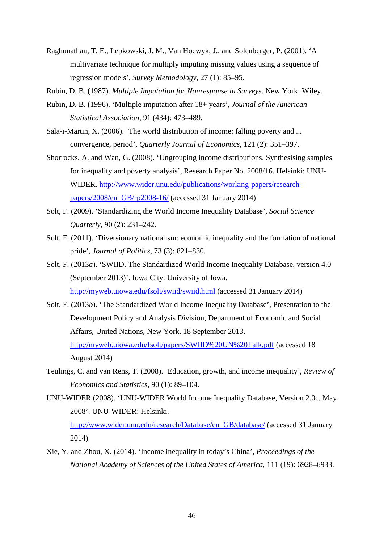Raghunathan, T. E., Lepkowski, J. M., Van Hoewyk, J., and Solenberger, P. (2001). 'A multivariate technique for multiply imputing missing values using a sequence of regression models', *Survey Methodology*, 27 (1): 85–95.

Rubin, D. B. (1987). *Multiple Imputation for Nonresponse in Surveys*. New York: Wiley.

- Rubin, D. B. (1996). 'Multiple imputation after 18+ years', *Journal of the American Statistical Association*, 91 (434): 473–489.
- Sala-i-Martin, X. (2006). 'The world distribution of income: falling poverty and ... convergence, period', *Quarterly Journal of Economics*, 121 (2): 351–397.
- Shorrocks, A. and Wan, G. (2008). 'Ungrouping income distributions. Synthesising samples for inequality and poverty analysis', Research Paper No. 2008/16. Helsinki: UNU-WIDER. [http://www.wider.unu.edu/publications/working-papers/research](http://www.wider.unu.edu/publications/working-papers/research-papers/2008/en_GB/rp2008-16/)[papers/2008/en\\_GB/rp2008-16/](http://www.wider.unu.edu/publications/working-papers/research-papers/2008/en_GB/rp2008-16/) (accessed 31 January 2014)
- Solt, F. (2009). 'Standardizing the World Income Inequality Database', *Social Science Quarterly*, 90 (2): 231–242.
- Solt, F. (2011). 'Diversionary nationalism: economic inequality and the formation of national pride', *Journal of Politics*, 73 (3): 821–830.
- Solt, F. (2013*a*). 'SWIID. The Standardized World Income Inequality Database, version 4.0 (September 2013)'. Iowa City: University of Iowa. <http://myweb.uiowa.edu/fsolt/swiid/swiid.html> (accessed 31 January 2014)
- Solt, F. (2013*b*). 'The Standardized World Income Inequality Database', Presentation to the Development Policy and Analysis Division, Department of Economic and Social Affairs, United Nations, New York, 18 September 2013. <http://myweb.uiowa.edu/fsolt/papers/SWIID%20UN%20Talk.pdf> (accessed 18 August 2014)
- Teulings, C. and van Rens, T. (2008). 'Education, growth, and income inequality', *Review of Economics and Statistics*, 90 (1): 89–104.
- UNU-WIDER (2008). 'UNU-WIDER World Income Inequality Database, Version 2.0c, May 2008'. UNU-WIDER: Helsinki. [http://www.wider.unu.edu/research/Database/en\\_GB/database/](http://www.wider.unu.edu/research/Database/en_GB/database/) (accessed 31 January 2014)
- Xie, Y. and Zhou, X. (2014). 'Income inequality in today's China', *Proceedings of the National Academy of Sciences of the United States of America*, 111 (19): 6928–6933.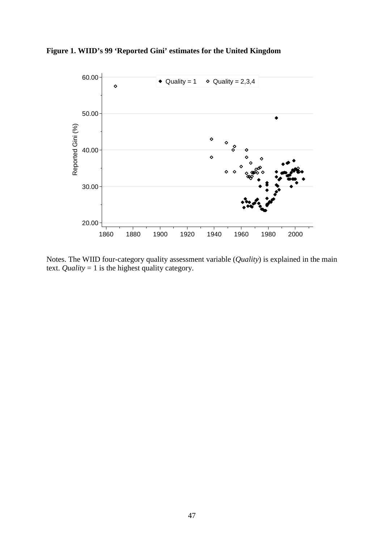**Figure 1. WIID's 99 'Reported Gini' estimates for the United Kingdom**



Notes. The WIID four-category quality assessment variable (*Quality*) is explained in the main text. *Quality* = 1 is the highest quality category.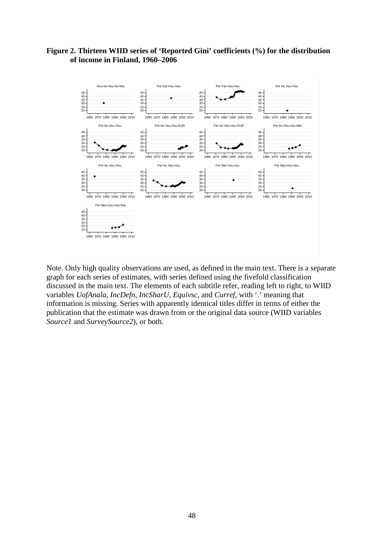#### **Figure 2. Thirteen WIID series of 'Reported Gini' coefficients (%) for the distribution of income in Finland, 1960–2006**



Note. Only high quality observations are used, as defined in the main text. There is a separate graph for each series of estimates, with series defined using the fivefold classification discussed in the main text. The elements of each subtitle refer, reading left to right, to WIID variables *UofAnala*, *IncDefn*, *IncSharU*, *Equivsc*, and *Curref*, with '.' meaning that information is missing. Series with apparently identical titles differ in terms of either the publication that the estimate was drawn from or the original data source (WIID variables *Source1* and *SurveySource2*), or both.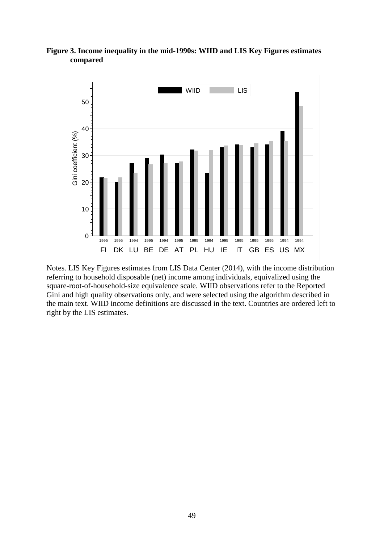



Notes. LIS Key Figures estimates from LIS Data Center (2014), with the income distribution referring to household disposable (net) income among individuals, equivalized using the square-root-of-household-size equivalence scale. WIID observations refer to the Reported Gini and high quality observations only, and were selected using the algorithm described in the main text. WIID income definitions are discussed in the text. Countries are ordered left to right by the LIS estimates.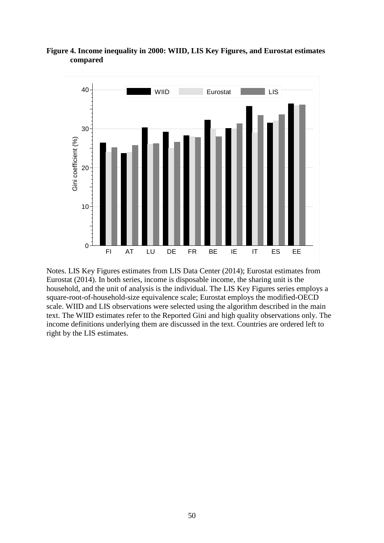



Notes. LIS Key Figures estimates from LIS Data Center (2014); Eurostat estimates from Eurostat (2014). In both series, income is disposable income, the sharing unit is the household, and the unit of analysis is the individual. The LIS Key Figures series employs a square-root-of-household-size equivalence scale; Eurostat employs the modified-OECD scale. WIID and LIS observations were selected using the algorithm described in the main text. The WIID estimates refer to the Reported Gini and high quality observations only. The income definitions underlying them are discussed in the text. Countries are ordered left to right by the LIS estimates.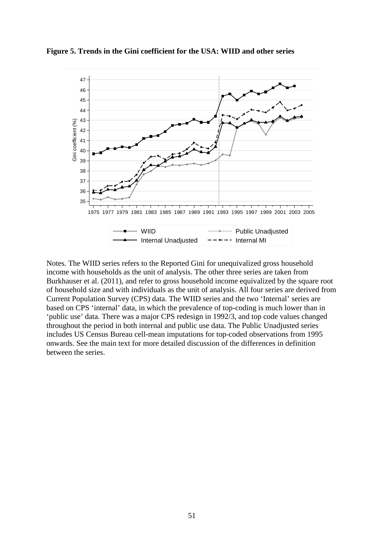**Figure 5. Trends in the Gini coefficient for the USA: WIID and other series**



Notes. The WIID series refers to the Reported Gini for unequivalized gross household income with households as the unit of analysis. The other three series are taken from Burkhauser et al. (2011), and refer to gross household income equivalized by the square root of household size and with individuals as the unit of analysis. All four series are derived from Current Population Survey (CPS) data. The WIID series and the two 'Internal' series are based on CPS 'internal' data, in which the prevalence of top-coding is much lower than in 'public use' data. There was a major CPS redesign in 1992/3, and top code values changed throughout the period in both internal and public use data. The Public Unadjusted series includes US Census Bureau cell-mean imputations for top-coded observations from 1995 onwards. See the main text for more detailed discussion of the differences in definition between the series.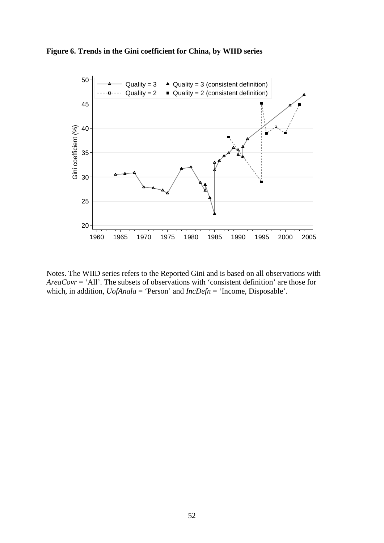



Notes. The WIID series refers to the Reported Gini and is based on all observations with *AreaCovr* = 'All'. The subsets of observations with 'consistent definition' are those for which, in addition, *UofAnala* = 'Person' and *IncDefn* = 'Income, Disposable'.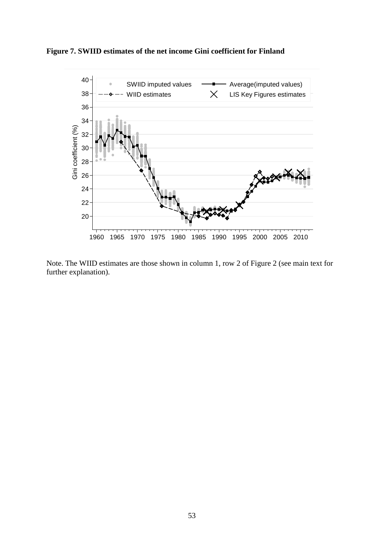**Figure 7. SWIID estimates of the net income Gini coefficient for Finland**



Note. The WIID estimates are those shown in column 1, row 2 of Figure 2 (see main text for further explanation).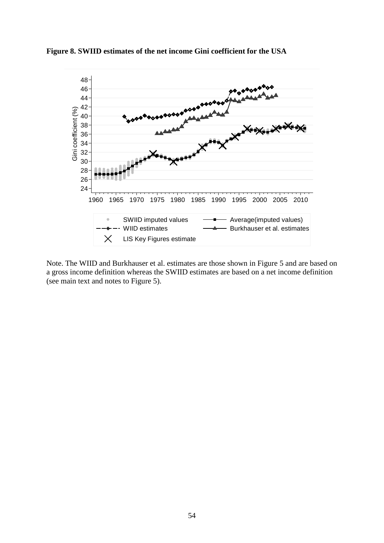

**Figure 8. SWIID estimates of the net income Gini coefficient for the USA**

Note. The WIID and Burkhauser et al. estimates are those shown in Figure 5 and are based on a gross income definition whereas the SWIID estimates are based on a net income definition (see main text and notes to Figure 5).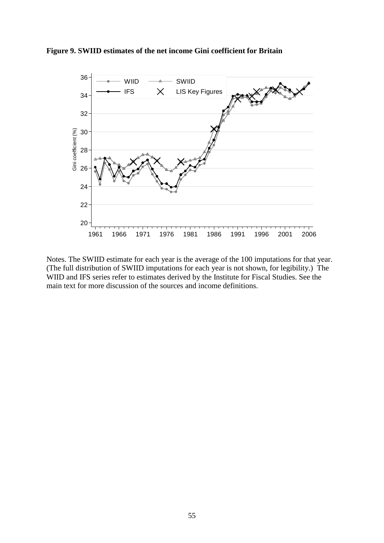



Notes. The SWIID estimate for each year is the average of the 100 imputations for that year. (The full distribution of SWIID imputations for each year is not shown, for legibility.) The WIID and IFS series refer to estimates derived by the Institute for Fiscal Studies. See the main text for more discussion of the sources and income definitions.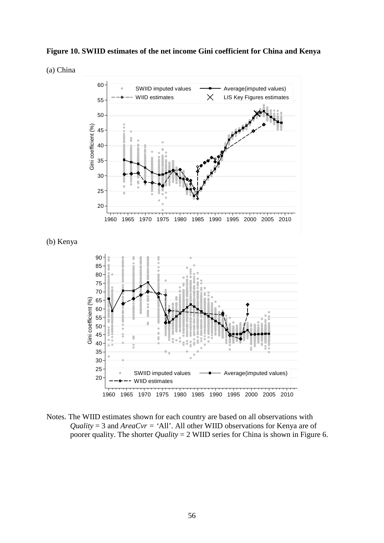

(a) China



Notes. The WIID estimates shown for each country are based on all observations with *Quality* = 3 and *AreaCvr = '*All'. All other WIID observations for Kenya are of poorer quality. The shorter *Quality* = 2 WIID series for China is shown in Figure 6.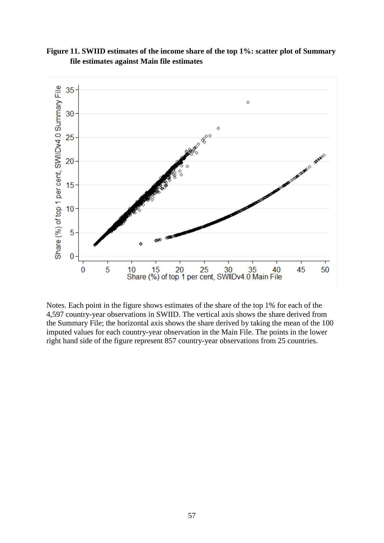



Notes. Each point in the figure shows estimates of the share of the top 1% for each of the 4,597 country-year observations in SWIID. The vertical axis shows the share derived from the Summary File; the horizontal axis shows the share derived by taking the mean of the 100 imputed values for each country-year observation in the Main File. The points in the lower right hand side of the figure represent 857 country-year observations from 25 countries.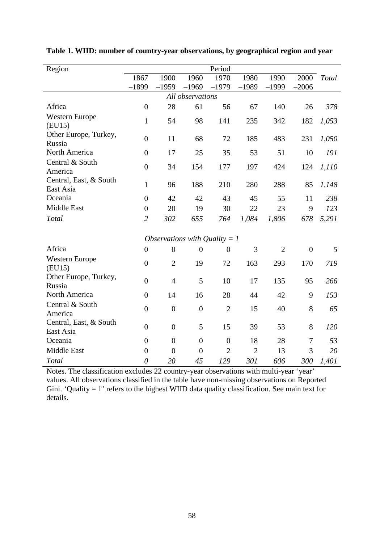| Region                              |                |                |                | Period                               |                |                |                |       |  |  |  |  |
|-------------------------------------|----------------|----------------|----------------|--------------------------------------|----------------|----------------|----------------|-------|--|--|--|--|
|                                     | 1867           | 1900           | 1960           | 1970                                 | 1980           | 1990           | 2000           | Total |  |  |  |  |
|                                     | $-1899$        | $-1959$        | $-1969$        | $-1979$                              | $-1989$        | $-1999$        | $-2006$        |       |  |  |  |  |
| All observations                    |                |                |                |                                      |                |                |                |       |  |  |  |  |
| Africa                              | $\overline{0}$ | 28             | 61             | 56                                   | 67             | 140            | 26             | 378   |  |  |  |  |
| <b>Western Europe</b><br>(EU15)     | $\mathbf{1}$   | 54             | 98             | 141                                  | 235            | 342            | 182            | 1,053 |  |  |  |  |
| Other Europe, Turkey,<br>Russia     | $\overline{0}$ | 11             | 68             | 72                                   | 185            | 483            | 231            | 1,050 |  |  |  |  |
| North America                       | $\overline{0}$ | 17             | 25             | 35                                   | 53             | 51             | 10             | 191   |  |  |  |  |
| Central & South<br>America          | $\overline{0}$ | 34             | 154            | 177                                  | 197            | 424            | 124            | 1,110 |  |  |  |  |
| Central, East, & South<br>East Asia | $\mathbf{1}$   | 96             | 188            | 210                                  | 280            | 288            | 85             | 1,148 |  |  |  |  |
| Oceania                             | $\overline{0}$ | 42             | 42             | 43                                   | 45             | 55             | 11             | 238   |  |  |  |  |
| <b>Middle East</b>                  | $\overline{0}$ | 20             | 19             | 30                                   | 22             | 23             | 9              | 123   |  |  |  |  |
| Total                               | $\overline{2}$ | 302            | 655            | 764                                  | 1,084          | 1,806          | 678            | 5,291 |  |  |  |  |
|                                     |                |                |                | <i>Observations with Quality = 1</i> |                |                |                |       |  |  |  |  |
| Africa                              | $\overline{0}$ | $\overline{0}$ | $\overline{0}$ | $\boldsymbol{0}$                     | 3              | $\overline{2}$ | $\overline{0}$ | 5     |  |  |  |  |
| <b>Western Europe</b><br>(EU15)     | $\overline{0}$ | $\overline{2}$ | 19             | 72                                   | 163            | 293            | 170            | 719   |  |  |  |  |
| Other Europe, Turkey,<br>Russia     | $\overline{0}$ | $\overline{4}$ | 5              | 10                                   | 17             | 135            | 95             | 266   |  |  |  |  |
| North America                       | $\overline{0}$ | 14             | 16             | 28                                   | 44             | 42             | 9              | 153   |  |  |  |  |
| Central & South<br>America          | $\overline{0}$ | $\overline{0}$ | $\overline{0}$ | $\overline{2}$                       | 15             | 40             | 8              | 65    |  |  |  |  |
| Central, East, & South<br>East Asia | $\overline{0}$ | $\overline{0}$ | 5              | 15                                   | 39             | 53             | 8              | 120   |  |  |  |  |
| Oceania                             | $\overline{0}$ | $\overline{0}$ | $\overline{0}$ | $\overline{0}$                       | 18             | 28             | 7              | 53    |  |  |  |  |
| Middle East                         | $\overline{0}$ | $\overline{0}$ | $\overline{0}$ | $\overline{2}$                       | $\overline{2}$ | 13             | 3              | 20    |  |  |  |  |
| Total                               | $\theta$       | 20             | 45             | 129                                  | 301            | 606            | 300            | 1,401 |  |  |  |  |

**Table 1. WIID: number of country-year observations, by geographical region and year**

Notes. The classification excludes 22 country-year observations with multi-year 'year' values. All observations classified in the table have non-missing observations on Reported Gini. 'Quality  $= 1$ ' refers to the highest WIID data quality classification. See main text for details.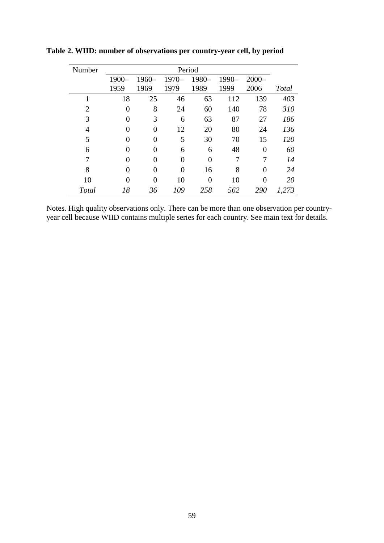| Number         | Period |                |          |       |       |          |       |  |
|----------------|--------|----------------|----------|-------|-------|----------|-------|--|
|                | 1900-  | 1960-          | 1970–    | 1980- | 1990- | $2000 -$ |       |  |
|                | 1959   | 1969           | 1979     | 1989  | 1999  | 2006     | Total |  |
| 1              | 18     | 25             | 46       | 63    | 112   | 139      | 403   |  |
| $\overline{2}$ | 0      | 8              | 24       | 60    | 140   | 78       | 310   |  |
| 3              | 0      | 3              | 6        | 63    | 87    | 27       | 186   |  |
| 4              | 0      | $\overline{0}$ | 12       | 20    | 80    | 24       | 136   |  |
| 5              | 0      | $\theta$       | 5        | 30    | 70    | 15       | 120   |  |
| 6              | 0      | $\theta$       | 6        | 6     | 48    | $\theta$ | 60    |  |
| 7              | 0      | $\Omega$       | $\Omega$ | 0     |       | 7        | 14    |  |
| 8              | 0      | $\theta$       | $\Omega$ | 16    | 8     | $\theta$ | 24    |  |
| 10             | 0      | $\theta$       | 10       | 0     | 10    | 0        | 20    |  |
| Total          | 18     | 36             | 109      | 258   | 562   | 290      | 1,273 |  |

**Table 2. WIID: number of observations per country-year cell, by period** 

Notes. High quality observations only. There can be more than one observation per countryyear cell because WIID contains multiple series for each country. See main text for details.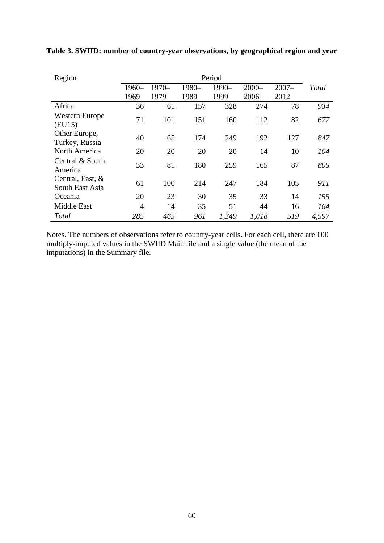| Region                              | Period         |         |       |          |          |          |       |  |  |
|-------------------------------------|----------------|---------|-------|----------|----------|----------|-------|--|--|
|                                     | $1960 -$       | $1970-$ | 1980- | $1990 -$ | $2000 -$ | $2007 -$ | Total |  |  |
|                                     | 1969           | 1979    | 1989  | 1999     | 2006     | 2012     |       |  |  |
| Africa                              | 36             | 61      | 157   | 328      | 274      | 78       | 934   |  |  |
| Western Europe<br>(EU15)            | 71             | 101     | 151   | 160      | 112      | 82       | 677   |  |  |
| Other Europe,<br>Turkey, Russia     | 40             | 65      | 174   | 249      | 192      | 127      | 847   |  |  |
| North America                       | 20             | 20      | 20    | 20       | 14       | 10       | 104   |  |  |
| Central & South<br>America          | 33             | 81      | 180   | 259      | 165      | 87       | 805   |  |  |
| Central, East, &<br>South East Asia | 61             | 100     | 214   | 247      | 184      | 105      | 911   |  |  |
| Oceania                             | 20             | 23      | 30    | 35       | 33       | 14       | 155   |  |  |
| Middle East                         | $\overline{4}$ | 14      | 35    | 51       | 44       | 16       | 164   |  |  |
| <b>Total</b>                        | 285            | 465     | 961   | 1,349    | 1,018    | 519      | 4,597 |  |  |

**Table 3. SWIID: number of country-year observations, by geographical region and year**

Notes. The numbers of observations refer to country-year cells. For each cell, there are 100 multiply-imputed values in the SWIID Main file and a single value (the mean of the imputations) in the Summary file.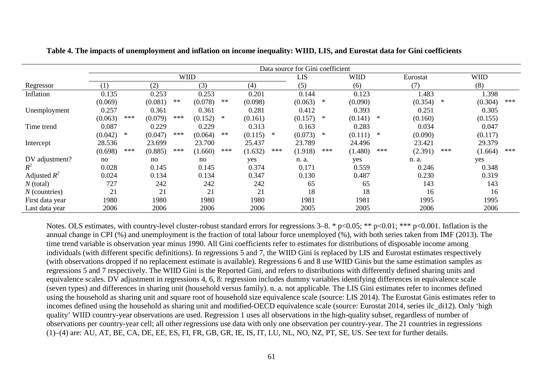|                 | Data source for Gini coefficient |                  |                       |                 |                |                   |                   |                         |
|-----------------|----------------------------------|------------------|-----------------------|-----------------|----------------|-------------------|-------------------|-------------------------|
|                 | <b>WIID</b>                      |                  |                       | LIS             | <b>WIID</b>    | Eurostat          | <b>WIID</b>       |                         |
| Regressor       | (1)                              | (2)              | (3)                   | (4)             | (5)            | (6)               | (7)               | (8)                     |
| Inflation       | 0.135                            | 0.253            | 0.253                 | 0.201           | 0.144          | 0.123             | 1.483             | 1.398                   |
|                 | (0.069)                          | (0.081)          | $\ast\ast$<br>(0.078) | $**$<br>(0.098) | (0.063)        | $\ast$<br>(0.090) | (0.354)           | (0.304)<br>$***$<br>∗   |
| Unemployment    | 0.257                            | 0.361            | 0.361                 | 0.281           | 0.412          | 0.393             | 0.251             | 0.305                   |
|                 | (0.063)                          | $***$<br>(0.079) | $***$<br>(0.152)      | ∗<br>(0.161)    | (0.157)        | $\ast$<br>(0.141) | $\ast$<br>(0.160) | (0.155)                 |
| Time trend      | 0.087                            | 0.229            | 0.229                 | 0.313           | 0.163          | 0.283             | 0.034             | 0.047                   |
|                 | $\ast$<br>(0.042)                | (0.047)          | $***$<br>(0.064)      | (0.115)<br>$**$ | (0.073)<br>-∗  | $\ast$<br>(0.111) | ∗<br>(0.090)      | (0.117)                 |
| Intercept       | 28.536                           | 23.699           | 23.700                | 25.437          | 23.789         | 24.496            | 23.421            | 29.379                  |
|                 | (0.698)                          | ***<br>(0.885)   | ***<br>(1.660)        | (1.632)<br>***  | (1.918)<br>*** | (1.480)<br>***    | ***<br>(2.391)    | $***$<br>***<br>(1.664) |
| DV adjustment?  | no                               | no               | no                    | yes             | n. a.          | yes               | n. a.             | yes                     |
| $R^2$           | 0.028                            | 0.145            | 0.145                 | 0.374           | 0.171          | 0.559             | 0.246             | 0.348                   |
| Adjusted $R^2$  | 0.024                            | 0.134            | 0.134                 | 0.347           | 0.130          | 0.487             | 0.230             | 0.319                   |
| $N$ (total)     | 727                              | 242              | 242                   | 242             | 65             | 65                | 143               | 143                     |
| $N$ (countries) | 21                               | 21               | 21                    | 21              | 18             | 18                | 16                | 16                      |
| First data year | 1980                             | 1980             | 1980                  | 1980            | 1981           | 1981              | 1995              | 1995                    |
| Last data year  | 2006                             | 2006             | 2006                  | 2006            | 2005           | 2005              | 2006              | 2006                    |

**Table 4. The impacts of unemployment and inflation on income inequality: WIID, LIS, and Eurostat data for Gini coefficients**

Notes. OLS estimates, with country-level cluster-robust standard errors for regressions 3–8. \* p<0.05; \*\* p<0.01; \*\*\* p<0.001. Inflation is the annual change in CPI (%) and unemployment is the fraction of total labour force unemployed (%), with both series taken from IMF (2013). The time trend variable is observation year minus 1990. All Gini coefficients refer to estimates for distributions of disposable income among individuals (with different specific definitions). In regressions 5 and 7, the WIID Gini is replaced by LIS and Eurostat estimates respectively (with observations dropped if no replacement estimate is available). Regressions 6 and 8 use WIID Ginis but the same estimation samples as regressions 5 and 7 respectively. The WIID Gini is the Reported Gini, and refers to distributions with differently defined sharing units and equivalence scales. DV adjustment in regressions 4, 6, 8: regression includes dummy variables identifying differences in equivalence scale (seven types) and differences in sharing unit (household versus family). n. a. not applicable. The LIS Gini estimates refer to incomes defined using the household as sharing unit and square root of household size equivalence scale (source: LIS 2014). The Eurostat Ginis estimates refer to incomes defined using the household as sharing unit and modified-OECD equivalence scale (source: Eurostat 2014, series ilc\_di12). Only 'high quality' WIID country-year observations are used. Regression 1 uses all observations in the high-quality subset, regardless of number of observations per country-year cell; all other regressions use data with only one observation per country-year. The 21 countries in regressions (1)–(4) are: AU, AT, BE, CA, DE, EE, ES, FI, FR, GB, GR, IE, IS, IT, LU, NL, NO, NZ, PT, SE, US. See text for further details.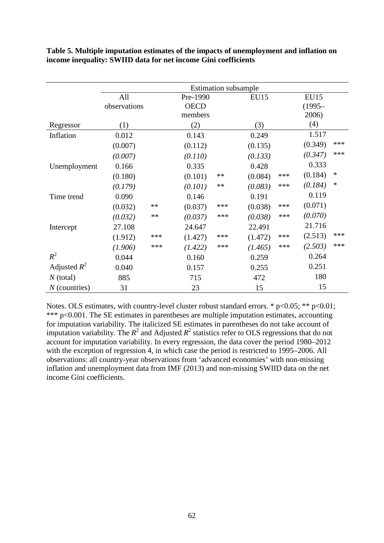|                 | <b>Estimation</b> subsample |       |             |             |         |     |           |     |  |  |
|-----------------|-----------------------------|-------|-------------|-------------|---------|-----|-----------|-----|--|--|
|                 | All                         |       | Pre-1990    | <b>EU15</b> |         |     | EU15      |     |  |  |
|                 | observations                |       | <b>OECD</b> |             |         |     | $(1995 -$ |     |  |  |
|                 |                             |       | members     |             |         |     | 2006)     |     |  |  |
| Regressor       | (1)                         |       | (2)         |             | (3)     |     | (4)       |     |  |  |
| Inflation       | 0.012                       |       | 0.143       |             | 0.249   |     | 1.517     |     |  |  |
|                 | (0.007)                     |       | (0.112)     |             | (0.135) |     | (0.349)   | *** |  |  |
|                 | (0.007)                     |       | (0.110)     |             | (0.133) |     | (0.347)   | *** |  |  |
| Unemployment    | 0.166                       |       | 0.335       |             | 0.428   |     | 0.333     |     |  |  |
|                 | (0.180)                     |       | (0.101)     | $**$        | (0.084) | *** | (0.184)   | ∗   |  |  |
|                 | (0.179)                     |       | (0.101)     | **          | (0.083) | *** | (0.184)   | ∗   |  |  |
| Time trend      | 0.090                       |       | 0.146       |             | 0.191   |     | 0.119     |     |  |  |
|                 | (0.032)                     | **    | (0.037)     | ***         | (0.038) | *** | (0.071)   |     |  |  |
|                 | (0.032)                     | $***$ | (0.037)     | $***$       | (0.038) | *** | (0.070)   |     |  |  |
| Intercept       | 27.108                      |       | 24.647      |             | 22.491  |     | 21.716    |     |  |  |
|                 | (1.912)                     | ***   | (1.427)     | ***         | (1.472) | *** | (2.513)   | *** |  |  |
|                 | (1.906)                     | $***$ | (1.422)     | $***$       | (1.465) | *** | (2.503)   | *** |  |  |
| $R^2$           | 0.044                       |       | 0.160       |             | 0.259   |     | 0.264     |     |  |  |
| Adjusted $R^2$  | 0.040                       |       | 0.157       |             | 0.255   |     | 0.251     |     |  |  |
| $N$ (total)     | 885                         |       | 715         |             | 472     |     | 180       |     |  |  |
| $N$ (countries) | 31                          |       | 23          |             | 15      |     | 15        |     |  |  |

**Table 5. Multiple imputation estimates of the impacts of unemployment and inflation on income inequality: SWIID data for net income Gini coefficients**

Notes. OLS estimates, with country-level cluster robust standard errors. \*  $p<0.05$ ; \*\*  $p<0.01$ ; \*\*\* p<0.001. The SE estimates in parentheses are multiple imputation estimates, accounting for imputation variability. The italicized SE estimates in parentheses do not take account of imputation variability. The  $R^2$  and Adjusted  $R^2$  statistics refer to OLS regressions that do not account for imputation variability. In every regression, the data cover the period 1980–2012 with the exception of regression 4, in which case the period is restricted to 1995–2006. All observations: all country-year observations from 'advanced economies' with non-missing inflation and unemployment data from IMF (2013) and non-missing SWIID data on the net income Gini coefficients.